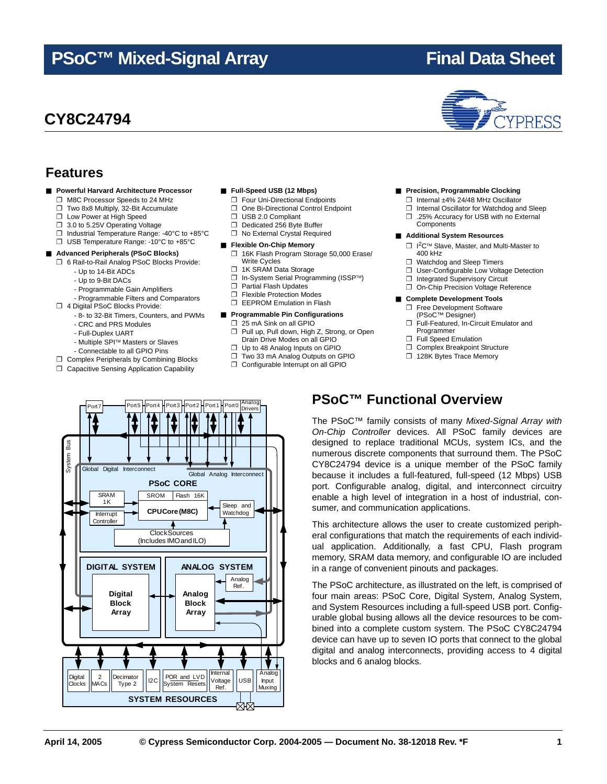## **PSoC™ Mixed-Signal Array Final Data Sheet**

## **CY8C24794**

■ **Powerful Harvard Architecture Processor** ❐ M8C Processor Speeds to 24 MHz ❐ Two 8x8 Multiply, 32-Bit Accumulate ❐ Low Power at High Speed ❐ 3.0 to 5.25V Operating Voltage

> - Up to 14-Bit ADCs - Up to 9-Bit DACs

❐ 4 Digital PSoC Blocks Provide:

- CRC and PRS Modules - Full-Duplex UART

❐ Industrial Temperature Range: -40°C to +85°C ❐ USB Temperature Range: -10°C to +85°C ■ **Advanced Peripherals (PSoC Blocks)** ❐ 6 Rail-to-Rail Analog PSoC Blocks Provide:

> - Programmable Gain Amplifiers - Programmable Filters and Comparators

- Multiple SPI™ Masters or Slaves - Connectable to all GPIO Pins ❐ Complex Peripherals by Combining Blocks ❐ Capacitive Sensing Application Capability

- 8- to 32-Bit Timers, Counters, and PWMs

**Features**

#### ■ **Full-Speed USB (12 Mbps)**

- ❐ Four Uni-Directional Endpoints
- ❐ One Bi-Directional Control Endpoint
- ❐ USB 2.0 Compliant
- ❐ Dedicated 256 Byte Buffer
- ❐ No External Crystal Required

#### ■ **Flexible On-Chip Memory**

- ❐ 16K Flash Program Storage 50,000 Erase/ Write Cycles
- ❐ 1K SRAM Data Storage
- ❐ In-System Serial Programming (ISSP™)
- ❐ Partial Flash Updates
- ❐ Flexible Protection Modes
- ❐ EEPROM Emulation in Flash

#### ■ **Programmable Pin Configurations**

- □ 25 mA Sink on all GPIO<br>□ Pull up. Pull down. High
- Pull up, Pull down, High Z, Strong, or Open Drain Drive Modes on all GPIO
- ❐ Up to 48 Analog Inputs on GPIO
- ❐ Two 33 mA Analog Outputs on GPIO
- ❐ Configurable Interrupt on all GPIO



- ❐ Internal Oscillator for Watchdog and Sleep ❐ .25% Accuracy for USB with no External Components
- **Additional System Resources**
	- □ l<sup>2</sup>C™ Slave, Master, and Multi-Master to 400 kHz
	- ❐ Watchdog and Sleep Timers
	- ❐ User-Configurable Low Voltage Detection
	- □ Integrated Supervisory Circuit
	- On-Chip Precision Voltage Reference

#### ■ **Complete Development Tools**

- ❐ Free Development Software (PSoC™ Designer)
- ❐ Full-Featured, In-Circuit Emulator and Programmer
- ❐ Full Speed Emulation
- ❐ Complex Breakpoint Structure
- ❐ 128K Bytes Trace Memory



### **PSoC™ Functional Overview**

The PSoC™ family consists of many *Mixed-Signal Array with On-Chip Controller* devices. All PSoC family devices are designed to replace traditional MCUs, system ICs, and the numerous discrete components that surround them. The PSoC CY8C24794 device is a unique member of the PSoC family because it includes a full-featured, full-speed (12 Mbps) USB port. Configurable analog, digital, and interconnect circuitry enable a high level of integration in a host of industrial, consumer, and communication applications.

This architecture allows the user to create customized peripheral configurations that match the requirements of each individual application. Additionally, a fast CPU, Flash program memory, SRAM data memory, and configurable IO are included in a range of convenient pinouts and packages.

The PSoC architecture, as illustrated on the left, is comprised of four main areas: PSoC Core, Digital System, Analog System, and System Resources including a full-speed USB port. Configurable global busing allows all the device resources to be combined into a complete custom system. The PSoC CY8C24794 device can have up to seven IO ports that connect to the global digital and analog interconnects, providing access to 4 digital blocks and 6 analog blocks.

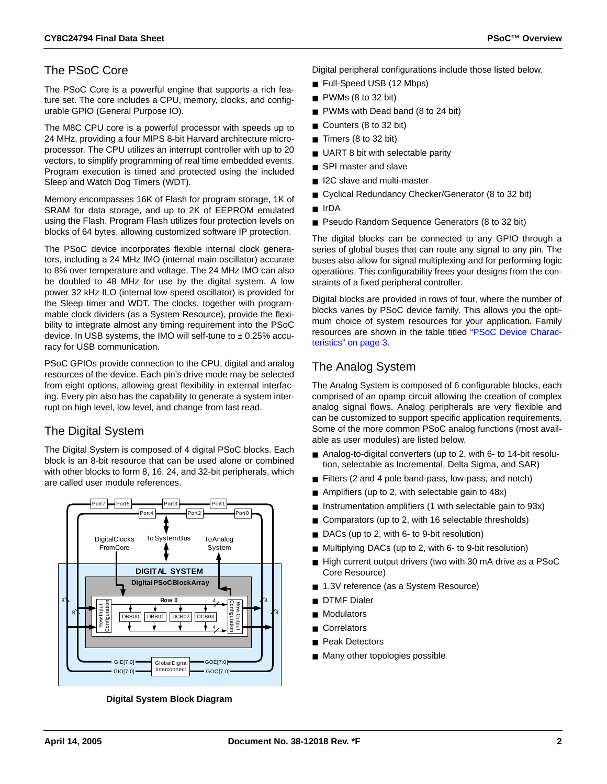### The PSoC Core

The PSoC Core is a powerful engine that supports a rich feature set. The core includes a CPU, memory, clocks, and configurable GPIO (General Purpose IO).

The M8C CPU core is a powerful processor with speeds up to 24 MHz, providing a four MIPS 8-bit Harvard architecture microprocessor. The CPU utilizes an interrupt controller with up to 20 vectors, to simplify programming of real time embedded events. Program execution is timed and protected using the included Sleep and Watch Dog Timers (WDT).

Memory encompasses 16K of Flash for program storage, 1K of SRAM for data storage, and up to 2K of EEPROM emulated using the Flash. Program Flash utilizes four protection levels on blocks of 64 bytes, allowing customized software IP protection.

The PSoC device incorporates flexible internal clock generators, including a 24 MHz IMO (internal main oscillator) accurate to 8% over temperature and voltage. The 24 MHz IMO can also be doubled to 48 MHz for use by the digital system. A low power 32 kHz ILO (internal low speed oscillator) is provided for the Sleep timer and WDT. The clocks, together with programmable clock dividers (as a System Resource), provide the flexibility to integrate almost any timing requirement into the PSoC device. In USB systems, the IMO will self-tune to  $\pm$  0.25% accuracy for USB communication.

PSoC GPIOs provide connection to the CPU, digital and analog resources of the device. Each pin's drive mode may be selected from eight options, allowing great flexibility in external interfacing. Every pin also has the capability to generate a system interrupt on high level, low level, and change from last read.

### The Digital System

The Digital System is composed of 4 digital PSoC blocks. Each block is an 8-bit resource that can be used alone or combined with other blocks to form 8, 16, 24, and 32-bit peripherals, which are called user module references.



**Digital System Block Diagram**

Digital peripheral configurations include those listed below.

- Full-Speed USB (12 Mbps)
- PWMs (8 to 32 bit)
- PWMs with Dead band (8 to 24 bit)
- Counters (8 to 32 bit)
- Timers (8 to 32 bit)
- UART 8 bit with selectable parity
- SPI master and slave
- I2C slave and multi-master
- Cyclical Redundancy Checker/Generator (8 to 32 bit)
- IrDA
- Pseudo Random Sequence Generators (8 to 32 bit)

The digital blocks can be connected to any GPIO through a series of global buses that can route any signal to any pin. The buses also allow for signal multiplexing and for performing logic operations. This configurability frees your designs from the constraints of a fixed peripheral controller.

Digital blocks are provided in rows of four, where the number of blocks varies by PSoC device family. This allows you the optimum choice of system resources for your application. Family resources are shown in the table titled "PSoC Device Characteristics" on page 3.

### The Analog System

The Analog System is composed of 6 configurable blocks, each comprised of an opamp circuit allowing the creation of complex analog signal flows. Analog peripherals are very flexible and can be customized to support specific application requirements. Some of the more common PSoC analog functions (most available as user modules) are listed below.

- Analog-to-digital converters (up to 2, with 6- to 14-bit resolution, selectable as Incremental, Delta Sigma, and SAR)
- Filters (2 and 4 pole band-pass, low-pass, and notch)
- Amplifiers (up to 2, with selectable gain to 48x)
- Instrumentation amplifiers (1 with selectable gain to 93x)
- Comparators (up to 2, with 16 selectable thresholds)
- DACs (up to 2, with 6- to 9-bit resolution)
- Multiplying DACs (up to 2, with 6- to 9-bit resolution)
- High current output drivers (two with 30 mA drive as a PSoC Core Resource)
- 1.3V reference (as a System Resource)
- **DTMF** Dialer
- **Modulators**
- **Correlators**
- Peak Detectors
- Many other topologies possible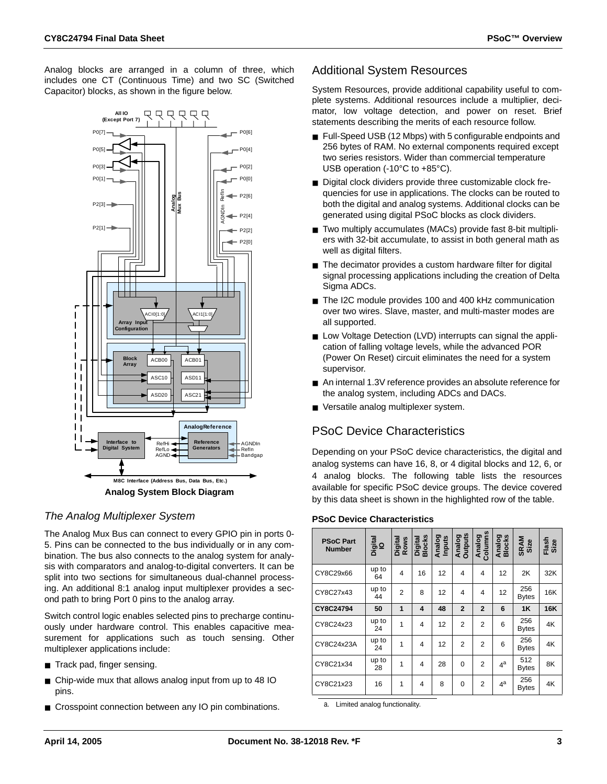Analog blocks are arranged in a column of three, which includes one CT (Continuous Time) and two SC (Switched Capacitor) blocks, as shown in the figure below.



#### *The Analog Multiplexer System*

The Analog Mux Bus can connect to every GPIO pin in ports 0- 5. Pins can be connected to the bus individually or in any combination. The bus also connects to the analog system for analysis with comparators and analog-to-digital converters. It can be split into two sections for simultaneous dual-channel processing. An additional 8:1 analog input multiplexer provides a second path to bring Port 0 pins to the analog array.

Switch control logic enables selected pins to precharge continuously under hardware control. This enables capacitive measurement for applications such as touch sensing. Other multiplexer applications include:

- Track pad, finger sensing.
- Chip-wide mux that allows analog input from up to 48 IO pins.
- Crosspoint connection between any IO pin combinations.

### Additional System Resources

System Resources, provide additional capability useful to complete systems. Additional resources include a multiplier, decimator, low voltage detection, and power on reset. Brief statements describing the merits of each resource follow.

- Full-Speed USB (12 Mbps) with 5 configurable endpoints and 256 bytes of RAM. No external components required except two series resistors. Wider than commercial temperature USB operation (-10°C to +85°C).
- Digital clock dividers provide three customizable clock frequencies for use in applications. The clocks can be routed to both the digital and analog systems. Additional clocks can be generated using digital PSoC blocks as clock dividers.
- Two multiply accumulates (MACs) provide fast 8-bit multipliers with 32-bit accumulate, to assist in both general math as well as digital filters.
- The decimator provides a custom hardware filter for digital signal processing applications including the creation of Delta Sigma ADCs.
- The I2C module provides 100 and 400 kHz communication over two wires. Slave, master, and multi-master modes are all supported.
- Low Voltage Detection (LVD) interrupts can signal the application of falling voltage levels, while the advanced POR (Power On Reset) circuit eliminates the need for a system supervisor.
- An internal 1.3V reference provides an absolute reference for the analog system, including ADCs and DACs.
- Versatile analog multiplexer system.

### PSoC Device Characteristics

Depending on your PSoC device characteristics, the digital and analog systems can have 16, 8, or 4 digital blocks and 12, 6, or 4 analog blocks. The following table lists the resources available for specific PSoC device groups. The device covered by this data sheet is shown in the highlighted row of the table.

#### **PSoC Device Characteristics**

| <b>PSoC Part</b><br><b>Number</b> | Digital<br>  O | Digital<br>Rows | Digital<br>Blocks | Analog<br>Inputs | Analog<br>Outputs | Columns<br>Analog | Analog<br>Blocks | <b>SRAM</b><br>Size | Flash<br>Size |
|-----------------------------------|----------------|-----------------|-------------------|------------------|-------------------|-------------------|------------------|---------------------|---------------|
| CY8C29x66                         | up to<br>64    | 4               | 16                | 12               | 4                 | 4                 | 12               | 2K                  | 32K           |
| CY8C27x43                         | up to<br>44    | $\overline{2}$  | 8                 | 12               | 4                 | 4                 | 12               | 256<br>Bytes        | 16K           |
| CY8C24794                         | 50             | 1               | 4                 | 48               | $\overline{2}$    | $\overline{2}$    | 6                | 1K                  | 16K           |
| CY8C24x23                         | up to<br>24    | 1               | 4                 | 12               | $\overline{2}$    | $\overline{2}$    | 6                | 256<br>Bytes        | 4K            |
| CY8C24x23A                        | up to<br>24    | 1               | 4                 | 12               | $\overline{2}$    | $\overline{2}$    | 6                | 256<br><b>Bytes</b> | 4K            |
| CY8C21x34                         | up to<br>28    | 1               | 4                 | 28               | $\Omega$          | $\overline{2}$    | 4 <sup>a</sup>   | 512<br><b>Bytes</b> | 8K            |
| CY8C21x23                         | 16             | 1               | 4                 | 8                | $\Omega$          | $\overline{2}$    | $4^a$            | 256<br><b>Bytes</b> | 4K            |

a. Limited analog functionality.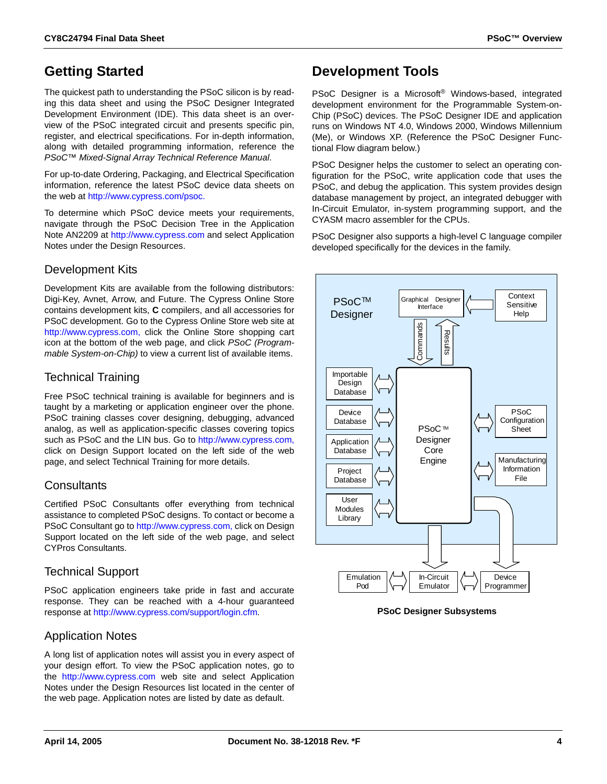### **Getting Started**

The quickest path to understanding the PSoC silicon is by reading this data sheet and using the PSoC Designer Integrated Development Environment (IDE). This data sheet is an overview of the PSoC integrated circuit and presents specific pin, register, and electrical specifications. For in-depth information, along with detailed programming information, reference the *PSoC™ Mixed-Signal Array Technical Reference Manual*.

For up-to-date Ordering, Packaging, and Electrical Specification information, reference the latest PSoC device data sheets on the web at [http://www.cypress.com/psoc.](http://www.cypress.com/psoc)

To determine which PSoC device meets your requirements, navigate through the PSoC Decision Tree in the Application Note AN2209 at <http://www.cypress.com> and select Application Notes under the Design Resources.

#### Development Kits

Development Kits are available from the following distributors: Digi-Key, Avnet, Arrow, and Future. The Cypress Online Store contains development kits, **C** compilers, and all accessories for PSoC development. Go to the Cypress Online Store web site at [http://www.cypress.com,](http://www.cypress.com) click the Online Store shopping cart icon at the bottom of the web page, and click *PSoC (Programmable System-on-Chip)* to view a current list of available items.

#### Technical Training

Free PSoC technical training is available for beginners and is taught by a marketing or application engineer over the phone. PSoC training classes cover designing, debugging, advanced analog, as well as application-specific classes covering topics such as PSoC and the LIN bus. Go to [http://www.cypress.com,](http://www.cypress.com) click on Design Support located on the left side of the web page, and select Technical Training for more details.

#### **Consultants**

Certified PSoC Consultants offer everything from technical assistance to completed PSoC designs. To contact or become a PSoC Consultant go to [http://www.cypress.com,](http://www.cypress.com) click on Design Support located on the left side of the web page, and select CYPros Consultants.

#### Technical Support

PSoC application engineers take pride in fast and accurate response. They can be reached with a 4-hour guaranteed response at [http://www.cypress.com/support/login.cfm.](http://www.cypress.com/support/login.cfm)

#### Application Notes

A long list of application notes will assist you in every aspect of your design effort. To view the PSoC application notes, go to the <http://www.cypress.com> web site and select Application Notes under the Design Resources list located in the center of the web page. Application notes are listed by date as default.

### **Development Tools**

PSoC Designer is a Microsoft<sup>®</sup> Windows-based, integrated development environment for the Programmable System-on-Chip (PSoC) devices. The PSoC Designer IDE and application runs on Windows NT 4.0, Windows 2000, Windows Millennium (Me), or Windows XP. (Reference the PSoC Designer Functional Flow diagram below.)

PSoC Designer helps the customer to select an operating configuration for the PSoC, write application code that uses the PSoC, and debug the application. This system provides design database management by project, an integrated debugger with In-Circuit Emulator, in-system programming support, and the CYASM macro assembler for the CPUs.

PSoC Designer also supports a high-level C language compiler developed specifically for the devices in the family.

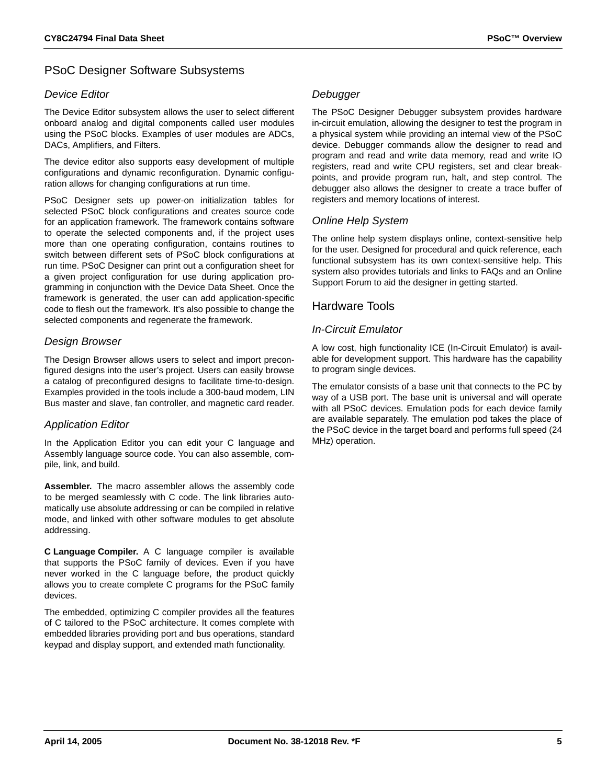#### PSoC Designer Software Subsystems

#### *Device Editor*

The Device Editor subsystem allows the user to select different onboard analog and digital components called user modules using the PSoC blocks. Examples of user modules are ADCs, DACs, Amplifiers, and Filters.

The device editor also supports easy development of multiple configurations and dynamic reconfiguration. Dynamic configuration allows for changing configurations at run time.

PSoC Designer sets up power-on initialization tables for selected PSoC block configurations and creates source code for an application framework. The framework contains software to operate the selected components and, if the project uses more than one operating configuration, contains routines to switch between different sets of PSoC block configurations at run time. PSoC Designer can print out a configuration sheet for a given project configuration for use during application programming in conjunction with the Device Data Sheet. Once the framework is generated, the user can add application-specific code to flesh out the framework. It's also possible to change the selected components and regenerate the framework.

#### *Design Browser*

The Design Browser allows users to select and import preconfigured designs into the user's project. Users can easily browse a catalog of preconfigured designs to facilitate time-to-design. Examples provided in the tools include a 300-baud modem, LIN Bus master and slave, fan controller, and magnetic card reader.

#### *Application Editor*

In the Application Editor you can edit your C language and Assembly language source code. You can also assemble, compile, link, and build.

**Assembler.** The macro assembler allows the assembly code to be merged seamlessly with C code. The link libraries automatically use absolute addressing or can be compiled in relative mode, and linked with other software modules to get absolute addressing.

**C Language Compiler.** A C language compiler is available that supports the PSoC family of devices. Even if you have never worked in the C language before, the product quickly allows you to create complete C programs for the PSoC family devices.

The embedded, optimizing C compiler provides all the features of C tailored to the PSoC architecture. It comes complete with embedded libraries providing port and bus operations, standard keypad and display support, and extended math functionality.

#### *Debugger*

The PSoC Designer Debugger subsystem provides hardware in-circuit emulation, allowing the designer to test the program in a physical system while providing an internal view of the PSoC device. Debugger commands allow the designer to read and program and read and write data memory, read and write IO registers, read and write CPU registers, set and clear breakpoints, and provide program run, halt, and step control. The debugger also allows the designer to create a trace buffer of registers and memory locations of interest.

#### *Online Help System*

The online help system displays online, context-sensitive help for the user. Designed for procedural and quick reference, each functional subsystem has its own context-sensitive help. This system also provides tutorials and links to FAQs and an Online Support Forum to aid the designer in getting started.

#### Hardware Tools

#### *In-Circuit Emulator*

A low cost, high functionality ICE (In-Circuit Emulator) is available for development support. This hardware has the capability to program single devices.

The emulator consists of a base unit that connects to the PC by way of a USB port. The base unit is universal and will operate with all PSoC devices. Emulation pods for each device family are available separately. The emulation pod takes the place of the PSoC device in the target board and performs full speed (24 MHz) operation.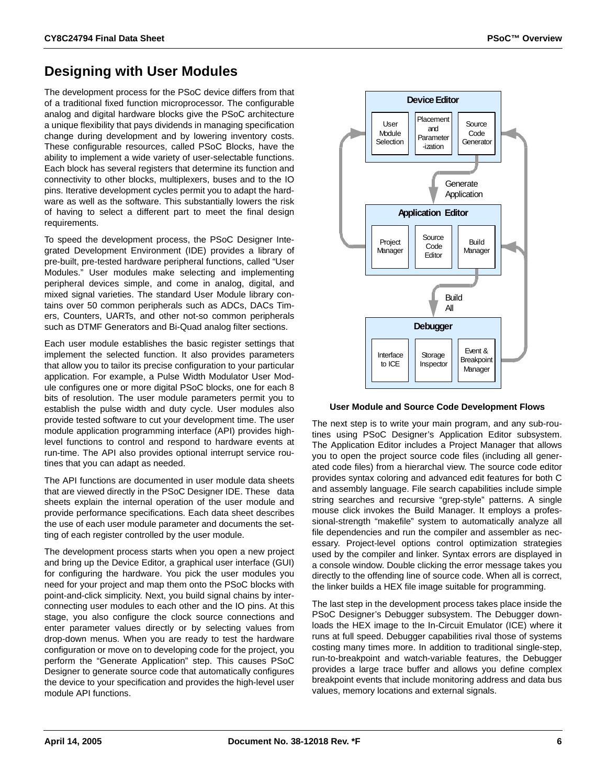### **Designing with User Modules**

The development process for the PSoC device differs from that of a traditional fixed function microprocessor. The configurable analog and digital hardware blocks give the PSoC architecture a unique flexibility that pays dividends in managing specification change during development and by lowering inventory costs. These configurable resources, called PSoC Blocks, have the ability to implement a wide variety of user-selectable functions. Each block has several registers that determine its function and connectivity to other blocks, multiplexers, buses and to the IO pins. Iterative development cycles permit you to adapt the hardware as well as the software. This substantially lowers the risk of having to select a different part to meet the final design requirements.

To speed the development process, the PSoC Designer Integrated Development Environment (IDE) provides a library of pre-built, pre-tested hardware peripheral functions, called "User Modules." User modules make selecting and implementing peripheral devices simple, and come in analog, digital, and mixed signal varieties. The standard User Module library contains over 50 common peripherals such as ADCs, DACs Timers, Counters, UARTs, and other not-so common peripherals such as DTMF Generators and Bi-Quad analog filter sections.

Each user module establishes the basic register settings that implement the selected function. It also provides parameters that allow you to tailor its precise configuration to your particular application. For example, a Pulse Width Modulator User Module configures one or more digital PSoC blocks, one for each 8 bits of resolution. The user module parameters permit you to establish the pulse width and duty cycle. User modules also provide tested software to cut your development time. The user module application programming interface (API) provides highlevel functions to control and respond to hardware events at run-time. The API also provides optional interrupt service routines that you can adapt as needed.

The API functions are documented in user module data sheets that are viewed directly in the PSoC Designer IDE. These data sheets explain the internal operation of the user module and provide performance specifications. Each data sheet describes the use of each user module parameter and documents the setting of each register controlled by the user module.

The development process starts when you open a new project and bring up the Device Editor, a graphical user interface (GUI) for configuring the hardware. You pick the user modules you need for your project and map them onto the PSoC blocks with point-and-click simplicity. Next, you build signal chains by interconnecting user modules to each other and the IO pins. At this stage, you also configure the clock source connections and enter parameter values directly or by selecting values from drop-down menus. When you are ready to test the hardware configuration or move on to developing code for the project, you perform the "Generate Application" step. This causes PSoC Designer to generate source code that automatically configures the device to your specification and provides the high-level user module API functions.



#### **User Module and Source Code Development Flows**

The next step is to write your main program, and any sub-routines using PSoC Designer's Application Editor subsystem. The Application Editor includes a Project Manager that allows you to open the project source code files (including all generated code files) from a hierarchal view. The source code editor provides syntax coloring and advanced edit features for both C and assembly language. File search capabilities include simple string searches and recursive "grep-style" patterns. A single mouse click invokes the Build Manager. It employs a professional-strength "makefile" system to automatically analyze all file dependencies and run the compiler and assembler as necessary. Project-level options control optimization strategies used by the compiler and linker. Syntax errors are displayed in a console window. Double clicking the error message takes you directly to the offending line of source code. When all is correct, the linker builds a HEX file image suitable for programming.

The last step in the development process takes place inside the PSoC Designer's Debugger subsystem. The Debugger downloads the HEX image to the In-Circuit Emulator (ICE) where it runs at full speed. Debugger capabilities rival those of systems costing many times more. In addition to traditional single-step, run-to-breakpoint and watch-variable features, the Debugger provides a large trace buffer and allows you define complex breakpoint events that include monitoring address and data bus values, memory locations and external signals.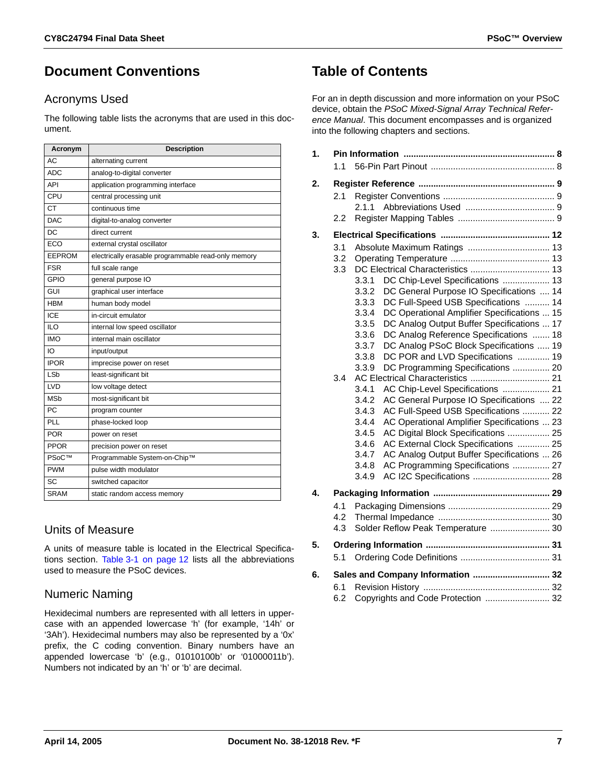### **Document Conventions**

#### Acronyms Used

The following table lists the acronyms that are used in this document.

| Acronym               | <b>Description</b>                                  |
|-----------------------|-----------------------------------------------------|
| AC                    | alternating current                                 |
| ADC                   | analog-to-digital converter                         |
| API                   | application programming interface                   |
| CPU                   | central processing unit                             |
| CT                    | continuous time                                     |
| <b>DAC</b>            | digital-to-analog converter                         |
| <b>DC</b>             | direct current                                      |
| ECO                   | external crystal oscillator                         |
| EEPROM                | electrically erasable programmable read-only memory |
| <b>FSR</b>            | full scale range                                    |
| GPIO                  | general purpose IO                                  |
| GUI                   | graphical user interface                            |
| <b>HBM</b>            | human body model                                    |
| ICE                   | in-circuit emulator                                 |
| ILO                   | internal low speed oscillator                       |
| <b>IMO</b>            | internal main oscillator                            |
| IO                    | input/output                                        |
| <b>IPOR</b>           | imprecise power on reset                            |
| LSb                   | least-significant bit                               |
| LVD                   | low voltage detect                                  |
| <b>MS<sub>b</sub></b> | most-significant bit                                |
| PC                    | program counter                                     |
| PLL                   | phase-locked loop                                   |
| <b>POR</b>            | power on reset                                      |
| <b>PPOR</b>           | precision power on reset                            |
| PSoC™                 | Programmable System-on-Chip™                        |
| <b>PWM</b>            | pulse width modulator                               |
| SC                    | switched capacitor                                  |
| <b>SRAM</b>           | static random access memory                         |

### Units of Measure

A units of measure table is located in the Electrical Specifications section. [Table 3-1 on page 12](#page-11-1) lists all the abbreviations used to measure the PSoC devices.

### Numeric Naming

Hexidecimal numbers are represented with all letters in uppercase with an appended lowercase 'h' (for example, '14h' or '3Ah'). Hexidecimal numbers may also be represented by a '0x' prefix, the C coding convention. Binary numbers have an appended lowercase 'b' (e.g., 01010100b' or '01000011b'). Numbers not indicated by an 'h' or 'b' are decimal.

### **Table of Contents**

For an in depth discussion and more information on your PSoC device, obtain the *PSoC Mixed-Signal Array Technical Reference Manual*. This document encompasses and is organized into the following chapters and sections.

| 1. | 11                       |                                                                                                                                                                                                                                                                                                                                                                                                                                                                                                                                                                                                                                                                                                                                                                                                                                                                                                                                                          |  |
|----|--------------------------|----------------------------------------------------------------------------------------------------------------------------------------------------------------------------------------------------------------------------------------------------------------------------------------------------------------------------------------------------------------------------------------------------------------------------------------------------------------------------------------------------------------------------------------------------------------------------------------------------------------------------------------------------------------------------------------------------------------------------------------------------------------------------------------------------------------------------------------------------------------------------------------------------------------------------------------------------------|--|
| 2. | 2.1<br>2.2               | 2.1.1                                                                                                                                                                                                                                                                                                                                                                                                                                                                                                                                                                                                                                                                                                                                                                                                                                                                                                                                                    |  |
| 3. |                          |                                                                                                                                                                                                                                                                                                                                                                                                                                                                                                                                                                                                                                                                                                                                                                                                                                                                                                                                                          |  |
|    | 3.1<br>3.2<br>3.3<br>3.4 | Absolute Maximum Ratings  13<br>DC Chip-Level Specifications  13<br>3.3.1<br>3.3.2<br>DC General Purpose IO Specifications  14<br>DC Full-Speed USB Specifications  14<br>3.3.3<br>DC Operational Amplifier Specifications  15<br>3.3.4<br>DC Analog Output Buffer Specifications  17<br>3.3.5<br>DC Analog Reference Specifications  18<br>3.3.6<br>3.3.7<br>DC Analog PSoC Block Specifications  19<br>DC POR and LVD Specifications  19<br>3.3.8<br>DC Programming Specifications  20<br>3.3.9<br>3.4.1<br>AC Chip-Level Specifications  21<br>3.4.2<br>AC General Purpose IO Specifications  22<br>AC Full-Speed USB Specifications  22<br>3.4.3<br>AC Operational Amplifier Specifications  23<br>3.4.4<br>AC Digital Block Specifications  25<br>3.4.5<br>AC External Clock Specifications  25<br>3.4.6<br>AC Analog Output Buffer Specifications  26<br>3.4.7<br>AC Programming Specifications  27<br>3.4.8<br>AC I2C Specifications  28<br>3.4.9 |  |
| 4. |                          |                                                                                                                                                                                                                                                                                                                                                                                                                                                                                                                                                                                                                                                                                                                                                                                                                                                                                                                                                          |  |
|    | 4.1<br>4.2<br>4.3        | Solder Reflow Peak Temperature  30                                                                                                                                                                                                                                                                                                                                                                                                                                                                                                                                                                                                                                                                                                                                                                                                                                                                                                                       |  |
| 5. |                          |                                                                                                                                                                                                                                                                                                                                                                                                                                                                                                                                                                                                                                                                                                                                                                                                                                                                                                                                                          |  |
|    | 5.1                      |                                                                                                                                                                                                                                                                                                                                                                                                                                                                                                                                                                                                                                                                                                                                                                                                                                                                                                                                                          |  |
| 6. |                          | Sales and Company Information  32                                                                                                                                                                                                                                                                                                                                                                                                                                                                                                                                                                                                                                                                                                                                                                                                                                                                                                                        |  |
|    | 6.1                      |                                                                                                                                                                                                                                                                                                                                                                                                                                                                                                                                                                                                                                                                                                                                                                                                                                                                                                                                                          |  |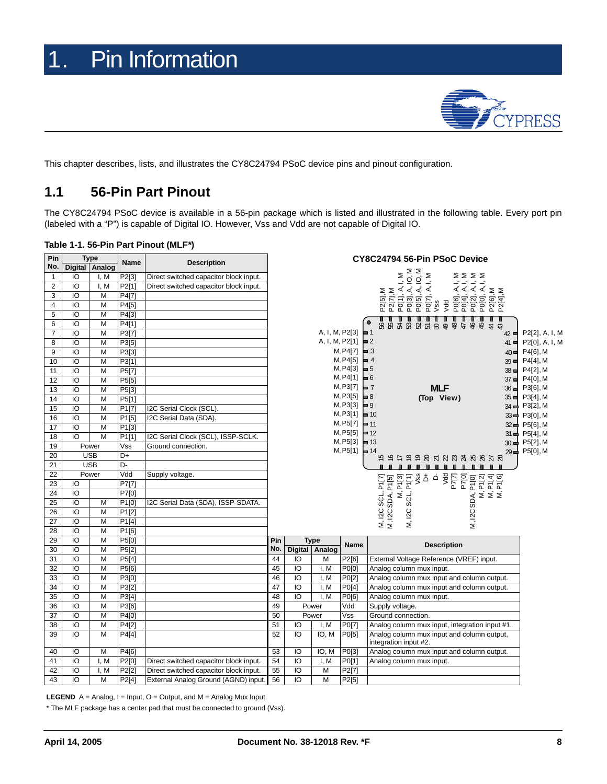

<span id="page-7-0"></span>This chapter describes, lists, and illustrates the CY8C24794 PSoC device pins and pinout configuration.

### <span id="page-7-1"></span>**1.1 56-Pin Part Pinout**

The CY8C24794 PSoC device is available in a 56-pin package which is listed and illustrated in the following table. Every port pin (labeled with a "P") is capable of Digital IO. However, Vss and Vdd are not capable of Digital IO.

| Table 1-1. 56-Pin Part Pinout (MLF*) |  |  |  |  |
|--------------------------------------|--|--|--|--|
|--------------------------------------|--|--|--|--|

| Pin            |                 | <b>Type</b>      |                    | <b>Description</b>                     | CY8C24794 56-Pin PSoC Device |    |                     |                    |                                                                                                                                                                                                          |                |  |
|----------------|-----------------|------------------|--------------------|----------------------------------------|------------------------------|----|---------------------|--------------------|----------------------------------------------------------------------------------------------------------------------------------------------------------------------------------------------------------|----------------|--|
| No.            |                 | Digital   Analog | Name               |                                        |                              |    |                     |                    |                                                                                                                                                                                                          |                |  |
| $\mathbf{1}$   | IO              | I, M             | P2[3]              | Direct switched capacitor block input. |                              |    |                     |                    | 10, M<br>10, M<br>Σ<br>$\mathsf{\Sigma}$<br>∑∑∑<br>Ŀ<br>$\overline{\phantom{a}}$<br>ニニニニ                                                                                                                 |                |  |
| $\overline{c}$ | IO              | I, M             | P2[1]              | Direct switched capacitor block input. |                              |    |                     |                    | $\dot{\prec}$ $\dot{\prec}$ $\dot{\prec}$<br>Ą,<br>$\prec\prec\prec\prec$                                                                                                                                |                |  |
| 3              | IO              | M                | P4[7]              |                                        |                              |    |                     |                    | P2[6], M<br>P2[4], M<br>P2[5], M<br>P2[7], M<br>PO[7].<br>Vss                                                                                                                                            |                |  |
| 4              | IO              | M                | P4[5]              |                                        |                              |    |                     |                    | P0[1],<br>.<br>ការ<br>ស្រុក<br>ស្រុក<br>Vdd                                                                                                                                                              |                |  |
| 5              | IO              | M                | P4[3]              |                                        |                              |    |                     |                    |                                                                                                                                                                                                          |                |  |
| 6              | IO              | M                | P4[1]              |                                        |                              |    |                     |                    | 8828828 <del>884844</del><br>۰                                                                                                                                                                           |                |  |
| $\overline{7}$ | IO              | M                | P3[7]              |                                        |                              |    | A, I, M, P2[3]      |                    | $= 1$<br>$42 \blacksquare$                                                                                                                                                                               | P2[2], A, I, M |  |
| 8              | IO              | M                | P3[5]              |                                        |                              |    | A, I, M, P2[1]      |                    | $\blacksquare$ 2<br>$41 \blacksquare$                                                                                                                                                                    | P2[0], A, I, M |  |
| 9              | IO              | M                | P3[3]              |                                        |                              |    |                     | M, P4[7]           | $\blacksquare$ 3<br>$40 \blacksquare$                                                                                                                                                                    | P4[6], M       |  |
| 10             | $\overline{10}$ | M                | P3[1]              |                                        |                              |    |                     | M, P4[5]           | $= 4$<br>$39 =$                                                                                                                                                                                          | P4[4], M       |  |
| 11             | IO              | M                | P5[7]              |                                        |                              |    |                     | M, P4[3]           | $\blacksquare$ 5<br>$38 \pm P4[2], M$                                                                                                                                                                    |                |  |
| 12             | IO              | M                | P5[5]              |                                        |                              |    |                     | M, P4[1]           | $= 6$<br>$37 \equiv$ P4[0], M                                                                                                                                                                            |                |  |
| 13             | IO              | M                | P5[3]              |                                        |                              |    |                     | M, P3[7]           | <b>MLF</b><br>$= 7$<br>$36\blacksquare$                                                                                                                                                                  | P3[6], M       |  |
| 14             | IO              | M                | P5[1]              |                                        |                              |    |                     | M, P3[5]           | $\blacksquare$ 8<br>(Top View)<br>$35 =$ P3[4], M                                                                                                                                                        |                |  |
| 15             | IO              | M                | P <sub>1</sub> [7] | I2C Serial Clock (SCL).                |                              |    |                     | M, P3[3]           | $\blacksquare$ 9<br>$34 \rightleftharpoons$ P3[2], M                                                                                                                                                     |                |  |
| 16             | $\overline{10}$ | M                | P1[5]              | I2C Serial Data (SDA).                 |                              |    |                     | M, P3[1]           | $\blacksquare$ 10<br>33 o P3[0], M                                                                                                                                                                       |                |  |
| 17             | IO              | M                | P1[3]              |                                        |                              |    |                     | M, P5[7]           | $\blacksquare$ 11<br>32 d P5[6], M                                                                                                                                                                       |                |  |
| 18             | IO              | M                | P1[1]              | I2C Serial Clock (SCL), ISSP-SCLK.     |                              |    |                     | $M, P5[5] = 12$    | $31 \rightleftharpoons$ P5[4], M                                                                                                                                                                         |                |  |
| 19             |                 | Power            | Vss                | Ground connection.                     |                              |    |                     | $M, P5[3] = 13$    | $30 \rightleftharpoons$ P5[2], M                                                                                                                                                                         |                |  |
| 20             |                 | <b>USB</b>       | D+                 |                                        |                              |    |                     | M, P5[1]           | 29→ P5[0], M<br>$= 14$<br>も おけ も も ぬ れ 辺 ぬ み ぬ ぬ み ぬ                                                                                                                                                     |                |  |
| 21             |                 | <b>USB</b>       | D-                 |                                        |                              |    |                     |                    | .                                                                                                                                                                                                        |                |  |
| 22             |                 | Power            | Vdd                | Supply voltage.                        |                              |    |                     |                    | Vss<br>습 수                                                                                                                                                                                               |                |  |
| 23             | IO              |                  | P7[7]              |                                        |                              |    |                     |                    | $\begin{array}{c} 1014 \\ 1014 \\ 1014 \end{array}$<br>$\begin{array}{c} \bar{P} \\ \bar{P} \\ \bar{P} \\ \end{array}$<br>P1[0]<br>P <sub>1[2]</sub><br>न् ।<br>PTE<br>PTE<br>3 SCL, P1[7]<br>SDA, P1[5] |                |  |
| 24             | IO              |                  | P7[0]              |                                        |                              |    |                     |                    | $\overline{z}$<br>Σ์ Σ๋ Σ๋                                                                                                                                                                               |                |  |
| 25             | IO              | M                | P1[0]              | I2C Serial Data (SDA), ISSP-SDATA.     |                              |    |                     |                    | M, I2C SCL, F<br>M, I2C SDA, F<br>SCL, I<br>M, I2C SDA,                                                                                                                                                  |                |  |
| 26             | IO              | M                | P1[2]              |                                        |                              |    |                     |                    | M, I2C                                                                                                                                                                                                   |                |  |
| 27             | IO              | M                | P1[4]              |                                        |                              |    |                     |                    |                                                                                                                                                                                                          |                |  |
| 28             | IO              | M                | P1[6]              |                                        |                              |    |                     |                    |                                                                                                                                                                                                          |                |  |
| 29             | IO              | M                | P5[0]              |                                        | Pin                          |    | <b>Type</b>         | Name               | <b>Description</b>                                                                                                                                                                                       |                |  |
| 30             | IO              | M                | P5[2]              |                                        | No.                          |    | Digital Analog      |                    |                                                                                                                                                                                                          |                |  |
| 31             | IO              | M                | P5[4]              |                                        | 44                           | IO | M                   | P2[6]              | External Voltage Reference (VREF) input.                                                                                                                                                                 |                |  |
| 32             | IO              | M                | P5[6]              |                                        | 45                           | IO | I, M                | P0[0]              | Analog column mux input.                                                                                                                                                                                 |                |  |
| 33             | IO              | M                | P3[0]              |                                        | 46                           | IO | I, M                | P0[2]              | Analog column mux input and column output.                                                                                                                                                               |                |  |
| 34             | Ю               | M                | P3[2]              |                                        | 47                           | Ю  | I. M                | P0[4]              | Analog column mux input and column output.                                                                                                                                                               |                |  |
| 35             | IO              | M                | P3[4]              |                                        | 48                           | IO | I, M                | P0[6]              | Analog column mux input.                                                                                                                                                                                 |                |  |
| 36             | IO              | M                | P3[6]              |                                        | 49                           |    | Power               | Vdd                | Supply voltage.                                                                                                                                                                                          |                |  |
| 37             | IO              | M                | P4[0]              |                                        | 50                           |    | Power               | Vss                | Ground connection.                                                                                                                                                                                       |                |  |
| 38             | IO              | M                | P4[2]              |                                        | 51                           | IO | I, M                | P0[7]              | Analog column mux input, integration input #1.                                                                                                                                                           |                |  |
| 39             | ĪО              | M                | P4[4]              |                                        | 52                           | Ю  | $\overline{IO}$ , M | P0[5]              | Analog column mux input and column output,<br>integration input #2.                                                                                                                                      |                |  |
| 40             | IO              | M                | P4[6]              |                                        | 53                           | IO | IO, M               | P0[3]              | Analog column mux input and column output.                                                                                                                                                               |                |  |
| 41             | IO              | I, M             | P2[0]              | Direct switched capacitor block input. | 54                           | IO | I, M                | P0[1]              | Analog column mux input.                                                                                                                                                                                 |                |  |
| 42             | IO              | I.M              | P2[2]              | Direct switched capacitor block input. | 55                           | IO | M                   | P <sub>2</sub> [7] |                                                                                                                                                                                                          |                |  |
| 43             | IO              | M                | P2[4]              | External Analog Ground (AGND) input.   | 56                           | IO | M                   | P2[5]              |                                                                                                                                                                                                          |                |  |
|                |                 |                  |                    |                                        |                              |    |                     |                    |                                                                                                                                                                                                          |                |  |

**LEGEND**  $A =$  Analog,  $I =$  Input,  $O =$  Output, and  $M =$  Analog Mux Input.

\* The MLF package has a center pad that must be connected to ground (Vss).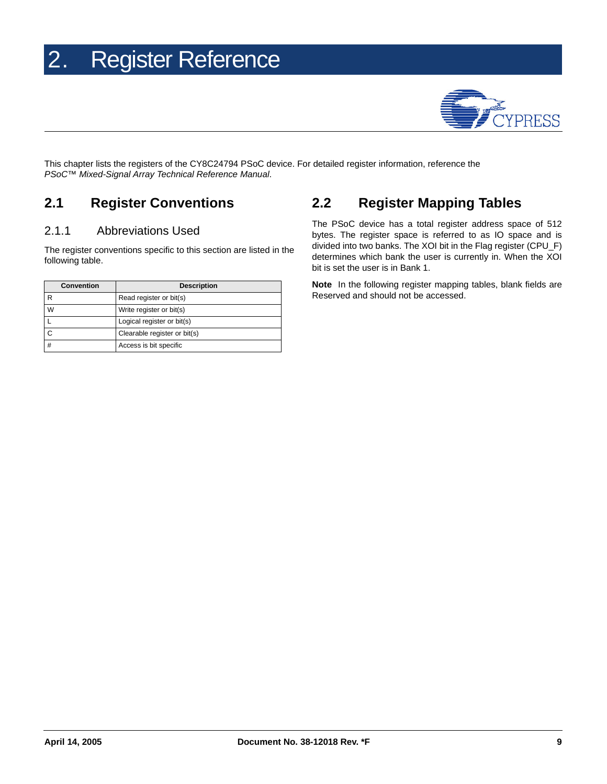## <span id="page-8-0"></span>2. Register Reference



This chapter lists the registers of the CY8C24794 PSoC device. For detailed register information, reference the *PSoC™ Mixed-Signal Array Technical Reference Manual*.

### <span id="page-8-1"></span>**2.1 Register Conventions**

#### <span id="page-8-2"></span>2.1.1 Abbreviations Used

The register conventions specific to this section are listed in the following table.

| <b>Convention</b> | <b>Description</b>           |
|-------------------|------------------------------|
|                   | Read register or bit(s)      |
| W                 | Write register or bit(s)     |
|                   | Logical register or bit(s)   |
|                   | Clearable register or bit(s) |
|                   | Access is bit specific       |

### <span id="page-8-3"></span>**2.2 Register Mapping Tables**

The PSoC device has a total register address space of 512 bytes. The register space is referred to as IO space and is divided into two banks. The XOI bit in the Flag register (CPU\_F) determines which bank the user is currently in. When the XOI bit is set the user is in Bank 1.

**Note** In the following register mapping tables, blank fields are Reserved and should not be accessed.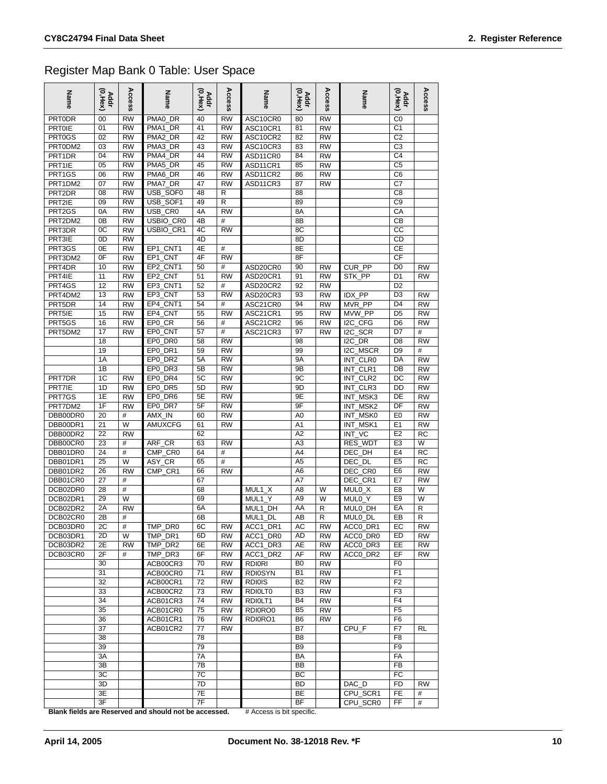### Register Map Bank 0 Table: User Space

| Name                 | Addr<br>(0,Hex) | Access                 | Name                               | Addr<br>(0,Hex) | Access          | Name                 | Addr<br>(0,Hex)      | Access                 | Name                            | Addr<br>(0,Hex)      | Access                 |
|----------------------|-----------------|------------------------|------------------------------------|-----------------|-----------------|----------------------|----------------------|------------------------|---------------------------------|----------------------|------------------------|
| <b>PRTODR</b>        | 00              | <b>RW</b>              | PMA0_DR                            | 40              | <b>RW</b>       | ASC10CR0             | 80                   | <b>RW</b>              |                                 | C0                   |                        |
| <b>PRT0IE</b>        | 01              | <b>RW</b>              | PMA1<br>DR                         | 41              | <b>RW</b>       | ASC10CR1             | 81                   | RW                     |                                 | C <sub>1</sub>       |                        |
| PRT0GS               | 02              | <b>RW</b>              | PMA <sub>2</sub><br>DR             | 42              | <b>RW</b>       | ASC10CR2             | 82                   | <b>RW</b>              |                                 | C <sub>2</sub>       |                        |
| PRT0DM2              | 03              | <b>RW</b>              | PMA3 DR                            | 43              | <b>RW</b>       | ASC10CR3             | 83                   | <b>RW</b>              |                                 | CЗ                   |                        |
| PRT1DR               | 04              | <b>RW</b>              | PMA4<br>DR                         | 44              | <b>RW</b>       | ASD11CR0             | 84                   | <b>RW</b>              |                                 | C <sub>4</sub>       |                        |
| PRT1IE<br>PRT1GS     | 05<br>06        | <b>RW</b><br><b>RW</b> | PMA5_DR<br>PMA6 DR                 | 45<br>46        | RW<br><b>RW</b> | ASD11CR1<br>ASD11CR2 | 85<br>86             | RW<br><b>RW</b>        |                                 | C5<br>C <sub>6</sub> |                        |
| PRT1DM2              | 07              | <b>RW</b>              | PMA7 DR                            | 47              | <b>RW</b>       | ASD11CR3             | 87                   | RW                     |                                 | C7                   |                        |
| PRT2DR               | 08              | <b>RW</b>              | USB_SOF0                           | 48              | R               |                      | 88                   |                        |                                 | C8                   |                        |
| PRT2IE               | 09              | <b>RW</b>              | USB_SOF1                           | 49              | R               |                      | 89                   |                        |                                 | C9                   |                        |
| PRT2GS               | 0A              | <b>RW</b>              | USB_CR0                            | 4A              | $\overline{RW}$ |                      | 8A                   |                        |                                 | CA                   |                        |
| PRT2DM2              | 0B              | <b>RW</b>              | USBIO_CR0                          | 4B              | #               |                      | 8B                   |                        |                                 | CВ                   |                        |
| PRT3DR               | 0C              | <b>RW</b>              | USBIO_CR1                          | 4C              | <b>RW</b>       |                      | 8C                   |                        |                                 | СC                   |                        |
| PRT3IE               | 0D              | <b>RW</b>              |                                    | 4D              |                 |                      | 8D                   |                        |                                 | CD                   |                        |
| PRT3GS               | 0E              | <b>RW</b>              | EP1_CNT1                           | 4E              | #               |                      | 8E                   |                        |                                 | СE                   |                        |
| PRT3DM2              | 0F              | <b>RW</b>              | <b>CNT</b><br>EP <sub>1</sub>      | 4F              | <b>RW</b>       |                      | 8F                   |                        |                                 | CF                   |                        |
| PRT4DR               | 10              | RW                     | EP2_CNT1                           | 50              | #               | ASD20CR0             | 90                   | <b>RW</b>              | CUR_PP                          | D0                   | <b>RW</b>              |
| PRT4IE               | 11              | <b>RW</b>              | EP <sub>2</sub><br><b>CNT</b>      | 51              | <b>RW</b>       | ASD20CR1             | 91                   | <b>RW</b>              | STK PP                          | D <sub>1</sub>       | <b>RW</b>              |
| PRT4GS               | 12              | <b>RW</b>              | EP3<br>_CNT1                       | 52              | #               | ASD20CR2             | 92                   | <b>RW</b>              |                                 | D <sub>2</sub>       |                        |
| PRT4DM2              | 13              | <b>RW</b>              | EP3<br><b>CNT</b>                  | 53              | <b>RW</b>       | ASD20CR3             | 93                   | <b>RW</b>              | PP<br>IDX.                      | D3                   | <b>RW</b>              |
| PRT5DR               | 14              | <b>RW</b>              | EP4 CNT1<br>EP4_CNT                | 54              | #               | ASC21CR0<br>ASC21CR1 | 94                   | <b>RW</b>              | MVR_PP                          | D <sub>4</sub>       | <b>RW</b>              |
| PRT5IE<br>PRT5GS     | 15<br>16        | <b>RW</b><br><b>RW</b> | CR<br>EP <sub>0</sub>              | 55<br>56        | <b>RW</b><br>#  | ASC21CR2             | 95<br>96             | <b>RW</b><br><b>RW</b> | MVW PP<br>I2C_CFG               | D <sub>5</sub><br>D6 | <b>RW</b><br><b>RW</b> |
| PRT5DM2              | 17              | <b>RW</b>              | EP <sub>0</sub><br><b>CNT</b>      | 57              | #               | ASC21CR3             | 97                   | <b>RW</b>              | <b>SCR</b><br>I <sub>2</sub> C  | D7                   | #                      |
|                      | 18              |                        | EP <sub>0</sub><br>DR <sub>0</sub> | 58              | <b>RW</b>       |                      | 98                   |                        | DR<br>12C                       | D <sub>8</sub>       | <b>RW</b>              |
|                      | 19              |                        | EP <sub>0</sub><br>DR <sub>1</sub> | 59              | <b>RW</b>       |                      | 99                   |                        | I <sub>2</sub> C<br><b>MSCR</b> | D <sub>9</sub>       | $\#$                   |
|                      | 1A              |                        | DR <sub>2</sub><br>EP <sub>0</sub> | 5A              | <b>RW</b>       |                      | <b>9A</b>            |                        | <b>CLR0</b><br>INT              | DA                   | <b>RW</b>              |
|                      | 1B              |                        | EP <sub>0</sub><br>DR <sub>3</sub> | 5B              | <b>RW</b>       |                      | 9B                   |                        | CLR1<br>INT                     | DB                   | <b>RW</b>              |
| PRT7DR               | 1C              | <b>RW</b>              | EP <sub>0</sub><br>DR <sub>4</sub> | 5C              | <b>RW</b>       |                      | 9C                   |                        | CLR <sub>2</sub><br>INT         | DC                   | <b>RW</b>              |
| PRT7IE               | 1D              | <b>RW</b>              | EP <sub>0</sub><br>DR <sub>5</sub> | 5D              | <b>RW</b>       |                      | 9D                   |                        | CLR <sub>3</sub><br>INT         | DD                   | <b>RW</b>              |
| PRT7GS               | 1E              | <b>RW</b>              | EP0<br>DR <sub>6</sub>             | 5E              | RW              |                      | 9E                   |                        | MSK3<br>INT                     | DE                   | <b>RW</b>              |
| PRT7DM2              | 1F              | <b>RW</b>              | EP0 DR7                            | 5F              | <b>RW</b>       |                      | 9F                   |                        | MSK <sub>2</sub><br>INT         | DF                   | <b>RW</b>              |
| DBB00DR0             | 20              | #                      | AMX_IN                             | 60              | <b>RW</b>       |                      | A0                   |                        | MSK <sub>0</sub><br>INT         | E0                   | <b>RW</b>              |
| DBB00DR1             | 21              | W                      | <b>AMUXCFG</b>                     | 61              | <b>RW</b>       |                      | A <sub>1</sub>       |                        | INT<br>MSK1                     | E <sub>1</sub>       | <b>RW</b>              |
| DBB00DR2             | 22              | <b>RW</b>              |                                    | 62              |                 |                      | A <sub>2</sub>       |                        | INT<br>VC                       | E <sub>2</sub>       | <b>RC</b>              |
| DBB00CR0             | 23              | #                      | <b>CR</b><br>ARF                   | 63              | <b>RW</b>       |                      | A <sub>3</sub>       |                        | <b>WDT</b><br><b>RES</b>        | E <sub>3</sub>       | W                      |
| DBB01DR0             | 24              | #                      | <b>CMP</b><br>CR <sub>0</sub>      | 64              | $\#$            |                      | A4                   |                        | DEC<br>DH                       | E4                   | <b>RC</b>              |
| DBB01DR1             | 25              | W                      | CR<br>ASY                          | 65              | #               |                      | A <sub>5</sub>       |                        | DEC<br>DL                       | E <sub>5</sub>       | <b>RC</b>              |
| DBB01DR2<br>DBB01CR0 | 26<br>27        | <b>RW</b><br>#         | CMP_CR1                            | 66<br>67        | <b>RW</b>       |                      | A <sub>6</sub><br>A7 |                        | CR0<br>DEC<br>DEC_CR1           | E6<br>E7             | <b>RW</b><br><b>RW</b> |
| DCB02DR0             | 28              | #                      |                                    | 68              |                 | MUL1<br>X            | A8                   | W                      | MUL0_X                          | E8                   | W                      |
| DCB02DR1             | 29              | W                      |                                    | 69              |                 | MUL1<br>Y.           | A <sub>9</sub>       | W                      | MUL0_Y                          | E9                   | W                      |
| DCB02DR2             | 2A              | <b>RW</b>              |                                    | 6A              |                 | MUL1<br>DH           | AA                   | R                      | DH<br><b>MUL0</b>               | EA                   | R                      |
| DCB02CR0             | 2B              | #                      |                                    | 6B              |                 | MUL1<br>DL           | AB                   | R                      | MUL0 DL                         | EВ                   | R                      |
| DCB03DR0             | 2C              | #                      | TMP_DR0                            | 6C              | <b>RW</b>       | ACC1_DR1             | AC                   | <b>RW</b>              | ACCO_DR1                        | EC                   | <b>RW</b>              |
| DCB03DR1             | 2D              | W                      | TMP_DR1                            | 6D              | <b>RW</b>       | ACC1_DR0             | AD                   | <b>RW</b>              | ACCO DRO                        | ED                   | <b>RW</b>              |
| DCB03DR2             | 2E              | <b>RW</b>              | TMP_DR2                            | 6E              | <b>RW</b>       | ACC1_DR3             | AE                   | <b>RW</b>              | ACCO DR3                        | EE                   | <b>RW</b>              |
| DCB03CR0             | 2F              | #                      | TMP DR3                            | 6F              | <b>RW</b>       | ACC1_DR2             | AF                   | <b>RW</b>              | ACCO_DR2                        | EF                   | <b>RW</b>              |
|                      | 30              |                        | ACB00CR3                           | 70              | <b>RW</b>       | <b>RDIORI</b>        | B <sub>0</sub>       | <b>RW</b>              |                                 | F <sub>0</sub>       |                        |
|                      | 31              |                        | ACB00CR0                           | 71              | <b>RW</b>       | <b>RDI0SYN</b>       | <b>B1</b>            | <b>RW</b>              |                                 | F <sub>1</sub>       |                        |
|                      | 32              |                        | ACB00CR1                           | 72              | <b>RW</b>       | <b>RDI0IS</b>        | B <sub>2</sub>       | <b>RW</b>              |                                 | F <sub>2</sub>       |                        |
|                      | 33              |                        | ACB00CR2                           | 73              | <b>RW</b>       | RDI0LT0              | B <sub>3</sub>       | <b>RW</b>              |                                 | F3                   |                        |
|                      | 34              |                        | ACB01CR3                           | 74              | <b>RW</b>       | RDIOLT1              | B <sub>4</sub>       | <b>RW</b>              |                                 | F <sub>4</sub>       |                        |
|                      | 35              |                        | ACB01CR0                           | 75              | <b>RW</b>       | RDI0RO0              | B <sub>5</sub>       | <b>RW</b>              |                                 | F <sub>5</sub>       |                        |
|                      | 36              |                        | ACB01CR1                           | 76              | <b>RW</b>       | RDI0RO1              | B <sub>6</sub>       | <b>RW</b>              |                                 | F6                   |                        |
|                      | 37<br>38        |                        | ACB01CR2                           | 77<br>78        | <b>RW</b>       |                      | B7<br>B <sub>8</sub> |                        | CPU_F                           | F7<br>F <sub>8</sub> | RL                     |
|                      | 39              |                        |                                    | 79              |                 |                      | B <sub>9</sub>       |                        |                                 | F <sub>9</sub>       |                        |
|                      | 3A              |                        |                                    | 7A              |                 |                      | BA                   |                        |                                 | FA                   |                        |
|                      | 3B              |                        |                                    | 7B              |                 |                      | BB                   |                        |                                 | FB                   |                        |
|                      | 3C              |                        |                                    | 7C              |                 |                      | BC                   |                        |                                 | FC                   |                        |
|                      | 3D              |                        |                                    | 7D              |                 |                      | <b>BD</b>            |                        | DAC_D                           | FD                   | <b>RW</b>              |
|                      | 3E              |                        |                                    | 7E              |                 |                      | BE                   |                        | CPU_SCR1                        | FE.                  | #                      |
|                      | 3F              |                        |                                    | 7F              |                 |                      | BF                   |                        | CPU_SCR0                        | FF                   | #                      |

**Blank fields are Reserved and should not be accessed.** # Access is bit specific.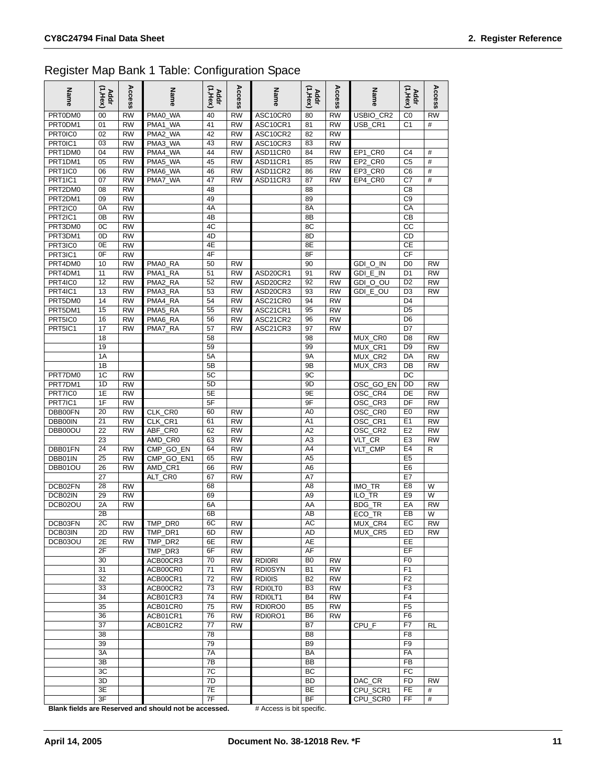#### Register Map Bank 1 Table: Configuration Space

| Name               | (1,Нех)<br><b>Addr</b> | Acces<br>m             | Name                          | $(1,$ Hex $)$<br><b>Addr</b> | Access                 | Name                 | $(1,$ Hex $)$<br>Addr | Access                 | Name                                        | (1,Нех)<br><b>Addr</b>           | Access    |
|--------------------|------------------------|------------------------|-------------------------------|------------------------------|------------------------|----------------------|-----------------------|------------------------|---------------------------------------------|----------------------------------|-----------|
| PRT0DM0            | 00                     | <b>RW</b>              | <b>WA</b><br>PMA0             | 40                           | <b>RW</b>              | ASC10CR0             | 80                    | <b>RW</b>              | USBIO CR2                                   | C <sub>0</sub>                   | <b>RW</b> |
| PRT0DM1            | 01                     | <b>RW</b>              | <b>WA</b><br>PMA <sub>1</sub> | 41                           | <b>RW</b>              | ASC10CR1             | 81                    | <b>RW</b>              | USB CR1                                     | C <sub>1</sub>                   | #         |
| <b>PRT0IC0</b>     | 02                     | <b>RW</b>              | PMA <sub>2</sub><br><b>WA</b> | 42                           | <b>RW</b>              | ASC10CR2             | 82                    | <b>RW</b>              |                                             |                                  |           |
| PRT0IC1            | 03                     | <b>RW</b>              | PMA3_WA<br>PMA4 WA            | 43                           | <b>RW</b>              | ASC10CR3             | 83                    | <b>RW</b>              |                                             |                                  |           |
| PRT1DM0<br>PRT1DM1 | 04                     | <b>RW</b><br><b>RW</b> | PMA5 WA                       | 44<br>45                     | <b>RW</b><br><b>RW</b> | ASD11CR0<br>ASD11CR1 | 84                    | <b>RW</b><br><b>RW</b> | EP1 CR0                                     | C <sub>4</sub><br>C <sub>5</sub> | #<br>#    |
| PRT1IC0            | 05<br>06               | <b>RW</b>              | PMA6 WA                       | 46                           | <b>RW</b>              | ASD11CR2             | 85<br>86              | <b>RW</b>              | EP2_CR0<br>EP3 CR0                          | C <sub>6</sub>                   | #         |
| PRT1IC1            | 07                     | <b>RW</b>              | PMA7_WA                       | 47                           | <b>RW</b>              | ASD11CR3             | 87                    | <b>RW</b>              | EP4_CR0                                     | C7                               | #         |
| PRT2DM0            | 08                     | <b>RW</b>              |                               | 48                           |                        |                      | 88                    |                        |                                             | C <sub>8</sub>                   |           |
| PRT2DM1            | 09                     | <b>RW</b>              |                               | 49                           |                        |                      | 89                    |                        |                                             | C <sub>9</sub>                   |           |
| PRT2IC0            | 0A                     | <b>RW</b>              |                               | 4A                           |                        |                      | 8A                    |                        |                                             | CA                               |           |
| PRT2IC1            | 0B                     | <b>RW</b>              |                               | 4B                           |                        |                      | 8B                    |                        |                                             | CB                               |           |
| PRT3DM0            | 0C                     | <b>RW</b>              |                               | 4C                           |                        |                      | 8C                    |                        |                                             | СC                               |           |
| PRT3DM1            | 0D                     | <b>RW</b>              |                               | 4D                           |                        |                      | 8D                    |                        |                                             | CD                               |           |
| PRT3IC0            | 0E                     | <b>RW</b>              |                               | 4E                           |                        |                      | 8E                    |                        |                                             | СE                               |           |
| PRT3IC1            | 0F                     | <b>RW</b>              |                               | 4F                           |                        |                      | 8F                    |                        |                                             | <b>CF</b>                        |           |
| PRT4DM0            | 10                     | <b>RW</b>              | PMA0_RA                       | 50                           | <b>RW</b>              |                      | 90                    |                        | GDI_O_IN                                    | D <sub>0</sub>                   | <b>RW</b> |
| PRT4DM1            | 11                     | <b>RW</b>              | <b>RA</b><br>PMA1             | 51                           | <b>RW</b>              | ASD20CR1             | 91                    | <b>RW</b>              | $E$ <sub>IN</sub><br><b>GDI</b>             | D <sub>1</sub>                   | <b>RW</b> |
| PRT4IC0            | 12                     | <b>RW</b>              | <b>RA</b><br>PMA <sub>2</sub> | 52                           | <b>RW</b>              | ASD20CR2             | 92                    | <b>RW</b>              | $O_$ OU<br><b>GDI</b>                       | D <sub>2</sub>                   | <b>RW</b> |
| PRT4IC1            | 13                     | <b>RW</b>              | <b>RA</b><br>PMA3             | 53                           | <b>RW</b>              | ASD20CR3             | 93                    | <b>RW</b>              | GDI E OU                                    | D <sub>3</sub>                   | <b>RW</b> |
| PRT5DM0            | 14                     | <b>RW</b>              | PMA4 RA                       | 54                           | <b>RW</b>              | ASC21CR0             | 94                    | <b>RW</b>              |                                             | D <sub>4</sub>                   |           |
| PRT5DM1            | 15                     | <b>RW</b>              | <b>RA</b><br>PMA <sub>5</sub> | 55                           | <b>RW</b>              | ASC21CR1             | 95                    | <b>RW</b>              |                                             | D <sub>5</sub>                   |           |
| PRT5IC0<br>PRT5IC1 | 16                     | <b>RW</b><br><b>RW</b> | RA<br>PMA6                    | 56<br>57                     | <b>RW</b><br><b>RW</b> | ASC21CR2             | 96                    | <b>RW</b><br><b>RW</b> |                                             | D <sub>6</sub><br>D7             |           |
|                    | 17<br>18               |                        | <b>RA</b><br>PMA7             | 58                           |                        | ASC21CR3             | 97<br>98              |                        | MUX CR0                                     | D <sub>8</sub>                   | RW        |
|                    | 19                     |                        |                               | 59                           |                        |                      | 99                    |                        | MUX CR1                                     | D <sub>9</sub>                   | <b>RW</b> |
|                    | 1A                     |                        |                               | 5A                           |                        |                      | <b>9A</b>             |                        | MUX_CR2                                     | DA                               | <b>RW</b> |
|                    | 1B                     |                        |                               | 5B                           |                        |                      | 9B                    |                        | MUX CR3                                     | DB                               | <b>RW</b> |
| PRT7DM0            | 1C                     | <b>RW</b>              |                               | 5C                           |                        |                      | 9C                    |                        |                                             | DC                               |           |
| PRT7DM1            | 1D                     | <b>RW</b>              |                               | 5D                           |                        |                      | 9D                    |                        | OSC GO EN                                   | DD                               | <b>RW</b> |
| PRT7IC0            | 1E                     | <b>RW</b>              |                               | 5E                           |                        |                      | 9Ε                    |                        | OSC_CR4                                     | DE                               | <b>RW</b> |
| PRT7IC1            | 1F                     | <b>RW</b>              |                               | 5F                           |                        |                      | 9F                    |                        | OSC CR3                                     | DF                               | <b>RW</b> |
| DBB00FN            | 20                     | <b>RW</b>              | CLK_CR0                       | 60                           | RW                     |                      | A0                    |                        | OSC_CR0                                     | E <sub>0</sub>                   | <b>RW</b> |
| DBB00IN            | 21                     | <b>RW</b>              | CLK_CR1                       | 61                           | <b>RW</b>              |                      | A1                    |                        | OSC_CR1                                     | E <sub>1</sub>                   | <b>RW</b> |
| DBB00OU            | 22                     | <b>RW</b>              | ABF_CR0                       | 62                           | <b>RW</b>              |                      | A <sub>2</sub>        |                        | OSC CR2                                     | E <sub>2</sub>                   | <b>RW</b> |
|                    | 23                     |                        | AMD CR0                       | 63                           | <b>RW</b>              |                      | A <sub>3</sub>        |                        | CR<br>VLT                                   | E <sub>3</sub>                   | <b>RW</b> |
| DBB01FN            | 24                     | <b>RW</b>              | CMP_GO_EN                     | 64                           | <b>RW</b>              |                      | A4                    |                        | VLT CMP                                     | E <sub>4</sub>                   | R         |
| DBB01IN            | 25                     | <b>RW</b>              | GO EN1<br><b>CMP</b>          | 65                           | <b>RW</b>              |                      | A <sub>5</sub>        |                        |                                             | E <sub>5</sub>                   |           |
| DBB01OU            | 26                     | <b>RW</b>              | CR <sub>1</sub><br>AMD        | 66                           | <b>RW</b>              |                      | A6                    |                        |                                             | E <sub>6</sub>                   |           |
|                    | 27                     |                        | ALT_CR0                       | 67                           | <b>RW</b>              |                      | A7                    |                        |                                             | E7                               |           |
| DCB02FN<br>DCB02IN | 28                     | <b>RW</b>              |                               | 68                           |                        |                      | A <sub>8</sub>        |                        | IMO TR                                      | E <sub>8</sub><br>E <sub>9</sub> | W<br>W    |
| DCB02OU            | 29<br>2A               | <b>RW</b><br><b>RW</b> |                               | 69<br>6A                     |                        |                      | A <sub>9</sub><br>AA  |                        | <b>ILO</b><br>TR<br><b>TR</b><br><b>BDG</b> | EA                               | <b>RW</b> |
|                    | 2B                     |                        |                               | 6B                           |                        |                      | AB                    |                        | ECO TR                                      | EB                               | W         |
| DCB03FN            | 2C                     | <b>RW</b>              | TMP_DR0                       | 6C                           | <b>RW</b>              |                      | <b>AC</b>             |                        | MUX_CR4                                     | EC                               | <b>RW</b> |
| DCB03IN            | 2D                     | <b>RW</b>              | TMP DR1                       | 6D                           | <b>RW</b>              |                      | AD                    |                        | MUX_CR5                                     | ED                               | <b>RW</b> |
| DCB03OU            | 2E                     | <b>RW</b>              | TMP_DR2                       | 6E                           | <b>RW</b>              |                      | AE                    |                        |                                             | EE                               |           |
|                    | 2F                     |                        | TMP_DR3                       | 6F                           | <b>RW</b>              |                      | AF                    |                        |                                             | EF                               |           |
|                    | 30                     |                        | ACB00CR3                      | 70                           | <b>RW</b>              | <b>RDIORI</b>        | B <sub>0</sub>        | <b>RW</b>              |                                             | F <sub>0</sub>                   |           |
|                    | 31                     |                        | ACB00CR0                      | 71                           | <b>RW</b>              | <b>RDI0SYN</b>       | <b>B1</b>             | <b>RW</b>              |                                             | F <sub>1</sub>                   |           |
|                    | 32                     |                        | ACB00CR1                      | 72                           | <b>RW</b>              | <b>RDI0IS</b>        | B <sub>2</sub>        | <b>RW</b>              |                                             | F <sub>2</sub>                   |           |
|                    | 33                     |                        | ACB00CR2                      | 73                           | <b>RW</b>              | <b>RDIOLTO</b>       | B <sub>3</sub>        | <b>RW</b>              |                                             | F <sub>3</sub>                   |           |
|                    | 34                     |                        | ACB01CR3                      | $\overline{74}$              | <b>RW</b>              | RDIOLT1              | B4                    | <b>RW</b>              |                                             | F4                               |           |
|                    | 35                     |                        | ACB01CR0                      | 75                           | <b>RW</b>              | RDI0RO0              | B5                    | <b>RW</b>              |                                             | F5                               |           |
|                    | 36                     |                        | ACB01CR1                      | 76                           | <b>RW</b>              | RDI0RO1              | B <sub>6</sub>        | <b>RW</b>              |                                             | F <sub>6</sub>                   |           |
|                    | 37                     |                        | ACB01CR2                      | 77                           | <b>RW</b>              |                      | B7                    |                        | CPU_F                                       | F7                               | RL        |
|                    | 38                     |                        |                               | 78                           |                        |                      | B <sub>8</sub>        |                        |                                             | F <sub>8</sub>                   |           |
|                    | 39                     |                        |                               | 79                           |                        |                      | B9                    |                        |                                             | F9                               |           |
|                    | 3A                     |                        |                               | 7A                           |                        |                      | BA                    |                        |                                             | FA                               |           |
|                    | 3B<br>3C               |                        |                               | 7B<br>$\overline{7C}$        |                        |                      | BB<br>ВC              |                        |                                             | FB<br>FC                         |           |
|                    | 3D                     |                        |                               | 7D                           |                        |                      | BD                    |                        | DAC CR                                      | FD                               | <b>RW</b> |
|                    | 3E                     |                        |                               | 7E                           |                        |                      | BE                    |                        | CPU_SCR1                                    | FE.                              | #         |
|                    | 3F                     |                        |                               | 7F                           |                        |                      | ΒF                    |                        | CPU_SCR0                                    | FF                               | #         |

**Blank fields are Reserved and should not be accessed.** # Access is bit specific.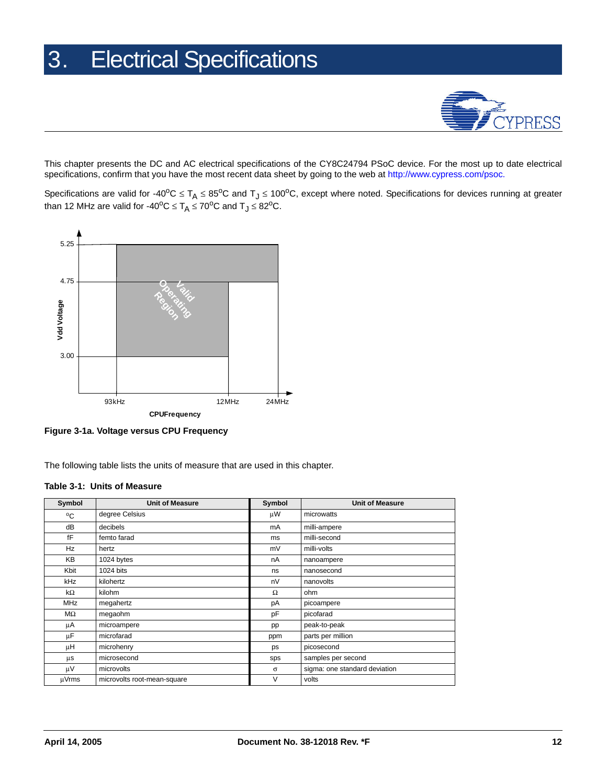

<span id="page-11-0"></span>This chapter presents the DC and AC electrical specifications of the CY8C24794 PSoC device. For the most up to date electrical specifications, confirm that you have the most recent data sheet by going to the web at [http://www.cypress.com/psoc.](http://www.cypress.com/psoc)

Specifications are valid for -40°C  $\leq T_A \leq 85$ °C and T<sub>J</sub>  $\leq 100$ °C, except where noted. Specifications for devices running at greater than 12 MHz are valid for -40<sup>o</sup>C ≤  $T_A \le 70$ <sup>o</sup>C and  $T_J \le 82$ <sup>o</sup>C.



**Figure 3-1a. Voltage versus CPU Frequency**

The following table lists the units of measure that are used in this chapter.

#### <span id="page-11-1"></span>**Table 3-1: Units of Measure**

| Symbol     | <b>Unit of Measure</b>      | Symbol   | <b>Unit of Measure</b>        |  |  |
|------------|-----------------------------|----------|-------------------------------|--|--|
| °C         | degree Celsius              | μW       | microwatts                    |  |  |
| dB         | decibels                    | mA       | milli-ampere                  |  |  |
| fF         | femto farad                 | ms       | milli-second                  |  |  |
| Hz         | hertz                       | mV       | milli-volts                   |  |  |
| <b>KB</b>  | 1024 bytes                  | nA       | nanoampere                    |  |  |
| Kbit       | 1024 bits                   | ns       | nanosecond                    |  |  |
| kHz        | kilohertz                   | nV       | nanovolts                     |  |  |
| kΩ         | kilohm                      | $\Omega$ | ohm                           |  |  |
| <b>MHz</b> | megahertz                   | рA       | picoampere                    |  |  |
| MΩ         | megaohm                     | pF       | picofarad                     |  |  |
| μA         | microampere                 | pp       | peak-to-peak                  |  |  |
| μF         | microfarad                  | ppm      | parts per million             |  |  |
| μH         | microhenry                  | ps       | picosecond                    |  |  |
| μs         | microsecond                 | sps      | samples per second            |  |  |
| μV         | microvolts                  | $\sigma$ | sigma: one standard deviation |  |  |
| µVrms      | microvolts root-mean-square | V        | volts                         |  |  |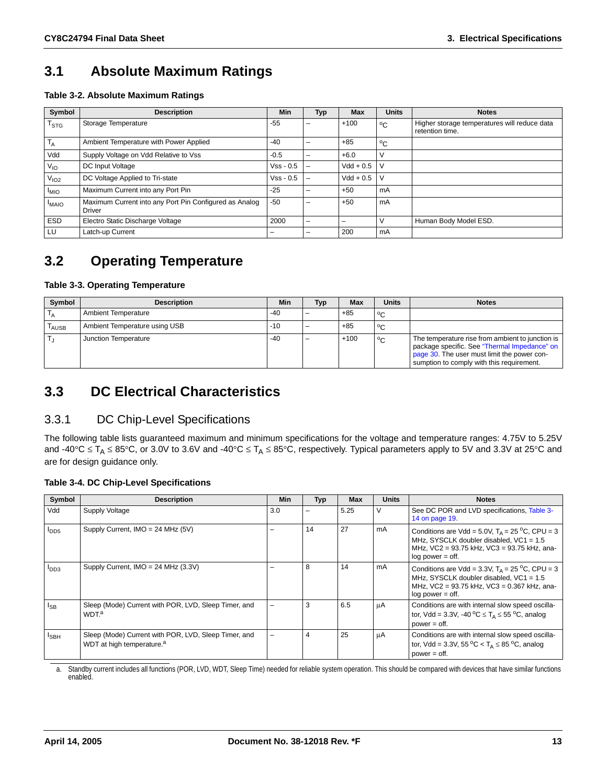### <span id="page-12-0"></span>**3.1 Absolute Maximum Ratings**

**Table 3-2. Absolute Maximum Ratings**

| Symbol           | <b>Description</b>                                                      | <b>Min</b>  | Typ | <b>Max</b>    | <b>Units</b>            | <b>Notes</b>                                                    |
|------------------|-------------------------------------------------------------------------|-------------|-----|---------------|-------------------------|-----------------------------------------------------------------|
| $T_{STG}$        | Storage Temperature                                                     | $-55$       | -   | $+100$        | $^{\circ}$ C            | Higher storage temperatures will reduce data<br>retention time. |
| $T_A$            | Ambient Temperature with Power Applied                                  | $-40$       | -   | $+85$         | $^{\circ}$ C            |                                                                 |
| Vdd              | Supply Voltage on Vdd Relative to Vss                                   | $-0.5$      |     | $+6.0$        | - V                     |                                                                 |
| $V_{IO}$         | DC Input Voltage                                                        | $Vss - 0.5$ |     | $Vdd + 0.5$ V |                         |                                                                 |
| V <sub>102</sub> | DC Voltage Applied to Tri-state                                         | $Vss - 0.5$ |     | $Vdd + 0.5$   | $\mathsf{I} \mathsf{V}$ |                                                                 |
| <sup>I</sup> MIO | Maximum Current into any Port Pin                                       | $-25$       | -   | $+50$         | <sub>m</sub> A          |                                                                 |
| <b>I</b> MAIO    | Maximum Current into any Port Pin Configured as Analog<br><b>Driver</b> | $-50$       | -   | $+50$         | <sub>m</sub> A          |                                                                 |
| <b>ESD</b>       | Electro Static Discharge Voltage                                        | 2000        | -   |               | - V                     | Human Body Model ESD.                                           |
| LU               | Latch-up Current                                                        | -           |     | 200           | <sub>m</sub> A          |                                                                 |

### <span id="page-12-1"></span>**3.2 Operating Temperature**

#### **Table 3-3. Operating Temperature**

| Symbol                       | <b>Description</b>            | Min   | Typ | Max    | <b>Units</b> | <b>Notes</b>                                                                                                                                                                                 |
|------------------------------|-------------------------------|-------|-----|--------|--------------|----------------------------------------------------------------------------------------------------------------------------------------------------------------------------------------------|
|                              | <b>Ambient Temperature</b>    | -40   |     | $+85$  | ∣°C          |                                                                                                                                                                                              |
| $\mathsf{T}_{\mathsf{AUSE}}$ | Ambient Temperature using USB | $-10$ |     | +85    | $^{\circ}$ C |                                                                                                                                                                                              |
|                              | Junction Temperature          | $-40$ |     | $+100$ | $^{\circ}$ C | The temperature rise from ambient to junction is<br>package specific. See "Thermal Impedance" on<br>page 30. The user must limit the power con-<br>sumption to comply with this requirement. |

### <span id="page-12-2"></span>**3.3 DC Electrical Characteristics**

#### <span id="page-12-3"></span>3.3.1 DC Chip-Level Specifications

The following table lists guaranteed maximum and minimum specifications for the voltage and temperature ranges: 4.75V to 5.25V and -40°C  $\leq T_A \leq 85$ °C, or 3.0V to 3.6V and -40°C  $\leq T_A \leq 85$ °C, respectively. Typical parameters apply to 5V and 3.3V at 25°C and are for design guidance only.

#### **Table 3-4. DC Chip-Level Specifications**

| Symbol           | <b>Description</b>                                                                            | Min | Typ | <b>Max</b> | <b>Units</b> | <b>Notes</b>                                                                                                                                                                      |
|------------------|-----------------------------------------------------------------------------------------------|-----|-----|------------|--------------|-----------------------------------------------------------------------------------------------------------------------------------------------------------------------------------|
| Vdd              | Supply Voltage                                                                                | 3.0 |     | 5.25       | $\vee$       | See DC POR and LVD specifications, Table 3-<br>14 on page 19.                                                                                                                     |
| $I_{DD5}$        | Supply Current, IMO = 24 MHz (5V)                                                             |     | 14  | 27         | mA           | Conditions are Vdd = 5.0V, $T_A$ = 25 °C, CPU = 3<br>MHz, SYSCLK doubler disabled, $VC1 = 1.5$<br>MHz, VC2 = 93.75 kHz, VC3 = 93.75 kHz, ana-<br>$log power = off.$               |
| $I_{DD3}$        | Supply Current, $IMO = 24 MHz (3.3V)$                                                         |     | 8   | 14         | mA           | Conditions are Vdd = 3.3V, $T_A = 25\degree C$ , CPU = 3<br>MHz, SYSCLK doubler disabled, $VC1 = 1.5$<br>MHz, VC2 = 93.75 kHz, VC3 = 0.367 kHz, ana-<br>$log power = off.$        |
| l <sub>SB</sub>  | Sleep (Mode) Current with POR, LVD, Sleep Timer, and<br>WDT. <sup>a</sup>                     |     | 3   | 6.5        | μA           | Conditions are with internal slow speed oscilla-<br>tor, Vdd = 3.3V, -40 $^{\circ}$ C $\leq$ T <sub>A</sub> $\leq$ 55 $^{\circ}$ C, analog<br>$power = off.$                      |
| l <sub>SBH</sub> | Sleep (Mode) Current with POR, LVD, Sleep Timer, and<br>WDT at high temperature. <sup>a</sup> |     | 4   | 25         | μA           | Conditions are with internal slow speed oscilla-<br>tor, Vdd = 3.3V, 55 $\rm{^{\circ}C}$ < T <sub><math>\rm{A}</math></sub> $\leq$ 85 $\rm{^{\circ}C}$ , analog<br>$power = off.$ |

a. Standby current includes all functions (POR, LVD, WDT, Sleep Time) needed for reliable system operation. This should be compared with devices that have similar functions enabled.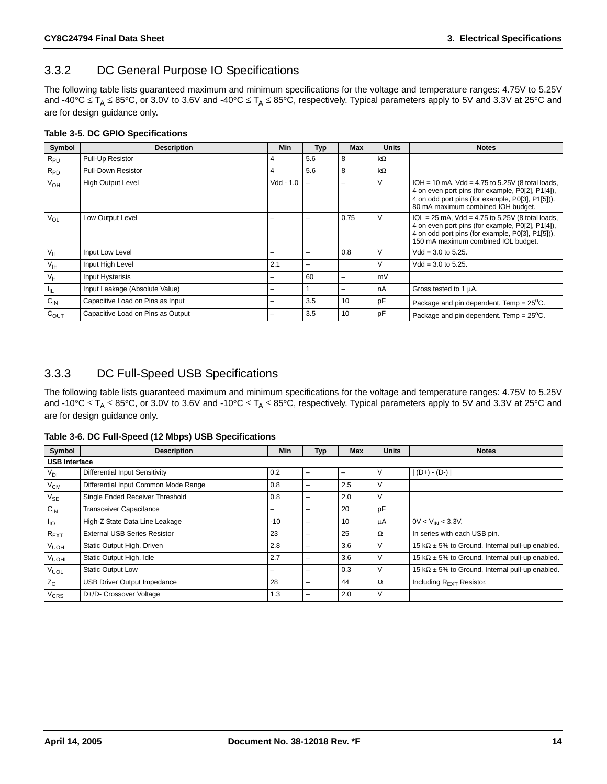### <span id="page-13-0"></span>3.3.2 DC General Purpose IO Specifications

The following table lists guaranteed maximum and minimum specifications for the voltage and temperature ranges: 4.75V to 5.25V and -40°C  $\leq T_A \leq 85$ °C, or 3.0V to 3.6V and -40°C  $\leq T_A \leq 85$ °C, respectively. Typical parameters apply to 5V and 3.3V at 25°C and are for design guidance only.

#### **Table 3-5. DC GPIO Specifications**

| Symbol          | <b>Description</b>                | <b>Min</b>  | <b>Typ</b> | <b>Max</b>               | <b>Units</b> | <b>Notes</b>                                                                                                                                                                                          |
|-----------------|-----------------------------------|-------------|------------|--------------------------|--------------|-------------------------------------------------------------------------------------------------------------------------------------------------------------------------------------------------------|
| $R_{PU}$        | Pull-Up Resistor                  | 4           | 5.6        | 8                        | $k\Omega$    |                                                                                                                                                                                                       |
| $R_{PD}$        | <b>Pull-Down Resistor</b>         | 4           | 5.6        | 8                        | $k\Omega$    |                                                                                                                                                                                                       |
| V <sub>OH</sub> | <b>High Output Level</b>          | $Vdd - 1.0$ |            |                          | $\vee$       | $IOH = 10$ mA, $Vdd = 4.75$ to 5.25V (8 total loads,<br>4 on even port pins (for example, P0[2], P1[4]),<br>4 on odd port pins (for example, P0[3], P1[5])).<br>80 mA maximum combined IOH budget.    |
| $V_{OL}$        | Low Output Level                  |             |            | 0.75                     | V            | $1OL = 25$ mA, $Vdd = 4.75$ to $5.25V$ (8 total loads,<br>4 on even port pins (for example, P0[2], P1[4]),<br>4 on odd port pins (for example, P0[3], P1[5])).<br>150 mA maximum combined IOL budget. |
| $V_{IL}$        | Input Low Level                   | -           |            | 0.8                      | $\vee$       | $Vdd = 3.0$ to 5.25.                                                                                                                                                                                  |
| $V_{\text{IH}}$ | Input High Level                  | 2.1         |            |                          | $\vee$       | $Vdd = 3.0$ to 5.25.                                                                                                                                                                                  |
| $V_H$           | Input Hysterisis                  | -           | 60         | $\overline{\phantom{0}}$ | mV           |                                                                                                                                                                                                       |
| ЧL.             | Input Leakage (Absolute Value)    | -           |            |                          | nA           | Gross tested to 1 µA.                                                                                                                                                                                 |
| $C_{\text{IN}}$ | Capacitive Load on Pins as Input  | -           | 3.5        | 10                       | pF           | Package and pin dependent. Temp = $25^{\circ}$ C.                                                                                                                                                     |
| $C_{OUT}$       | Capacitive Load on Pins as Output |             | 3.5        | 10                       | pF           | Package and pin dependent. Temp = $25^{\circ}$ C.                                                                                                                                                     |

#### <span id="page-13-1"></span>3.3.3 DC Full-Speed USB Specifications

The following table lists guaranteed maximum and minimum specifications for the voltage and temperature ranges: 4.75V to 5.25V and -10°C  $\leq T_A \leq 85$ °C, or 3.0V to 3.6V and -10°C  $\leq T_A \leq 85$ °C, respectively. Typical parameters apply to 5V and 3.3V at 25°C and are for design guidance only.

**Table 3-6. DC Full-Speed (12 Mbps) USB Specifications**

| Symbol                     | <b>Description</b>                    | Min   | <b>Typ</b> | <b>Max</b> | <b>Units</b> | <b>Notes</b>                                            |  |  |
|----------------------------|---------------------------------------|-------|------------|------------|--------------|---------------------------------------------------------|--|--|
| <b>USB Interface</b>       |                                       |       |            |            |              |                                                         |  |  |
| $V_{DI}$                   | <b>Differential Input Sensitivity</b> | 0.2   |            |            | V            | $ (D+) - (D-) $                                         |  |  |
| $V_{CM}$                   | Differential Input Common Mode Range  | 0.8   |            | 2.5        | V            |                                                         |  |  |
| $\mathsf{V}_{\mathsf{SE}}$ | Single Ended Receiver Threshold       | 0.8   | -          | 2.0        | ٧            |                                                         |  |  |
| $C_{IN}$                   | <b>Transceiver Capacitance</b>        | -     |            | 20         | pF           |                                                         |  |  |
| $I_{10}$                   | High-Z State Data Line Leakage        | $-10$ | -          | 10         | μA           | $0V < V_{IN} < 3.3V$ .                                  |  |  |
| $R_{\text{EXT}}$           | <b>External USB Series Resistor</b>   | 23    |            | 25         | Ω            | In series with each USB pin.                            |  |  |
| V <sub>UOH</sub>           | Static Output High, Driven            | 2.8   |            | 3.6        | V            | 15 k $\Omega$ ± 5% to Ground. Internal pull-up enabled. |  |  |
| V <sub>UOHI</sub>          | Static Output High, Idle              | 2.7   |            | 3.6        | V            | 15 k $\Omega$ ± 5% to Ground. Internal pull-up enabled. |  |  |
| <b>V<sub>UOL</sub></b>     | <b>Static Output Low</b>              | -     |            | 0.3        | V            | 15 k $\Omega$ ± 5% to Ground. Internal pull-up enabled. |  |  |
| $Z_{O}$                    | USB Driver Output Impedance           | 28    |            | 44         | $\Omega$     | Including $R_{F\times T}$ Resistor.                     |  |  |
| V <sub>CRS</sub>           | D+/D- Crossover Voltage               | 1.3   |            | 2.0        | V            |                                                         |  |  |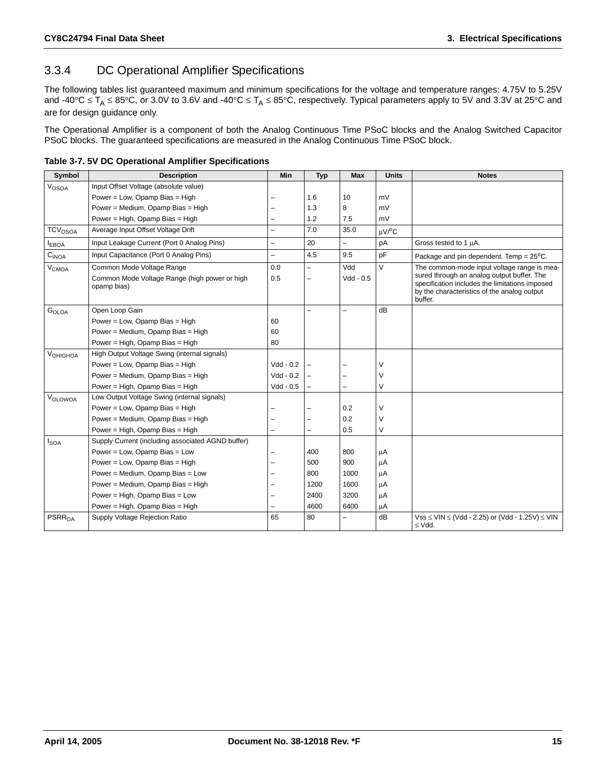### <span id="page-14-0"></span>3.3.4 DC Operational Amplifier Specifications

The following tables list guaranteed maximum and minimum specifications for the voltage and temperature ranges: 4.75V to 5.25V and -40°C  $\leq T_A \leq 85$ °C, or 3.0V to 3.6V and -40°C  $\leq T_A \leq 85$ °C, respectively. Typical parameters apply to 5V and 3.3V at 25°C and are for design guidance only.

The Operational Amplifier is a component of both the Analog Continuous Time PSoC blocks and the Analog Switched Capacitor PSoC blocks. The guaranteed specifications are measured in the Analog Continuous Time PSoC block.

|  |  |  |  | Table 3-7. 5V DC Operational Amplifier Specifications |
|--|--|--|--|-------------------------------------------------------|
|--|--|--|--|-------------------------------------------------------|

| Symbol                         | <b>Description</b>                                           | <b>Min</b>               | <b>Typ</b>               | <b>Max</b>  | <b>Units</b>       | <b>Notes</b>                                                                                                                                           |
|--------------------------------|--------------------------------------------------------------|--------------------------|--------------------------|-------------|--------------------|--------------------------------------------------------------------------------------------------------------------------------------------------------|
| $\ensuremath{V_\mathrm{OSOA}}$ | Input Offset Voltage (absolute value)                        |                          |                          |             |                    |                                                                                                                                                        |
|                                | Power = Low, Opamp Bias = High                               |                          | 1.6                      | 10          | mV                 |                                                                                                                                                        |
|                                | Power = Medium, Opamp Bias = High                            |                          | 1.3                      | 8           | mV                 |                                                                                                                                                        |
|                                | Power = High, Opamp Bias = High                              |                          | 1.2                      | 7.5         | mV                 |                                                                                                                                                        |
| TCV <sub>OSOA</sub>            | Average Input Offset Voltage Drift                           | $\overline{\phantom{0}}$ | 7.0                      | 35.0        | uV/ <sup>o</sup> C |                                                                                                                                                        |
| <b>IEBOA</b>                   | Input Leakage Current (Port 0 Analog Pins)                   | $\equiv$                 | 20                       | $\equiv$    | pA                 | Gross tested to 1 µA.                                                                                                                                  |
| $\mathrm{C_{INOA}}$            | Input Capacitance (Port 0 Analog Pins)                       | L.                       | 4.5                      | 9.5         | pF                 | Package and pin dependent. Temp = $25^{\circ}$ C.                                                                                                      |
| $\mathsf{V}_{\mathsf{CMOA}}$   | Common Mode Voltage Range                                    | 0.0                      | $\overline{\phantom{0}}$ | Vdd         | $\vee$             | The common-mode input voltage range is mea-                                                                                                            |
|                                | Common Mode Voltage Range (high power or high<br>opamp bias) | 0.5                      | $\overline{\phantom{0}}$ | $Vdd - 0.5$ |                    | sured through an analog output buffer. The<br>specification includes the limitations imposed<br>by the characteristics of the analog output<br>buffer. |
| G <sub>OLOA</sub>              | Open Loop Gain                                               |                          | $\overline{\phantom{0}}$ | L,          | dB                 |                                                                                                                                                        |
|                                | Power = Low, Opamp Bias = High                               | 60                       |                          |             |                    |                                                                                                                                                        |
|                                | Power = Medium, Opamp Bias = High                            | 60                       |                          |             |                    |                                                                                                                                                        |
|                                | Power = High, Opamp Bias = High                              | 80                       |                          |             |                    |                                                                                                                                                        |
| VOHIGHOA                       | High Output Voltage Swing (internal signals)                 |                          |                          |             |                    |                                                                                                                                                        |
|                                | Power = Low, Opamp Bias = High                               | $Vdd - 0.2$              |                          |             | $\vee$             |                                                                                                                                                        |
|                                | Power = Medium, Opamp Bias = High                            | $Vdd - 0.2$              |                          | L,          | $\vee$             |                                                                                                                                                        |
|                                | Power = High, Opamp Bias = High                              | $Vdd - 0.5$              | $\overline{\phantom{0}}$ | ÷           | $\vee$             |                                                                                                                                                        |
| VOLOWOA                        | Low Output Voltage Swing (internal signals)                  |                          |                          |             |                    |                                                                                                                                                        |
|                                | Power = Low, Opamp Bias = High                               |                          |                          | 0.2         | $\vee$             |                                                                                                                                                        |
|                                | Power = Medium, Opamp Bias = High                            |                          | $\overline{\phantom{0}}$ | 0.2         | $\vee$             |                                                                                                                                                        |
|                                | Power = High, Opamp Bias = High                              |                          | $\overline{\phantom{0}}$ | 0.5         | V                  |                                                                                                                                                        |
| $I_{\text{SOA}}$               | Supply Current (including associated AGND buffer)            |                          |                          |             |                    |                                                                                                                                                        |
|                                | Power = Low, Opamp Bias = Low                                |                          | 400                      | 800         | μA                 |                                                                                                                                                        |
|                                | Power = Low, Opamp Bias = High                               |                          | 500                      | 900         | μA                 |                                                                                                                                                        |
|                                | Power = Medium, Opamp Bias = Low                             |                          | 800                      | 1000        | μA                 |                                                                                                                                                        |
|                                | Power = Medium, Opamp Bias = High                            |                          | 1200                     | 1600        | μA                 |                                                                                                                                                        |
|                                | Power = High, Opamp Bias = Low                               |                          | 2400                     | 3200        | μA                 |                                                                                                                                                        |
|                                | Power = High, Opamp Bias = High                              |                          | 4600                     | 6400        | μA                 |                                                                                                                                                        |
| <b>PSRR<sub>OA</sub></b>       | Supply Voltage Rejection Ratio                               | 65                       | 80                       |             | dB                 | $Vss \leq VIN \leq (Vdd - 2.25)$ or (Vdd - 1.25V) $\leq VIN$<br>$\leq$ Vdd.                                                                            |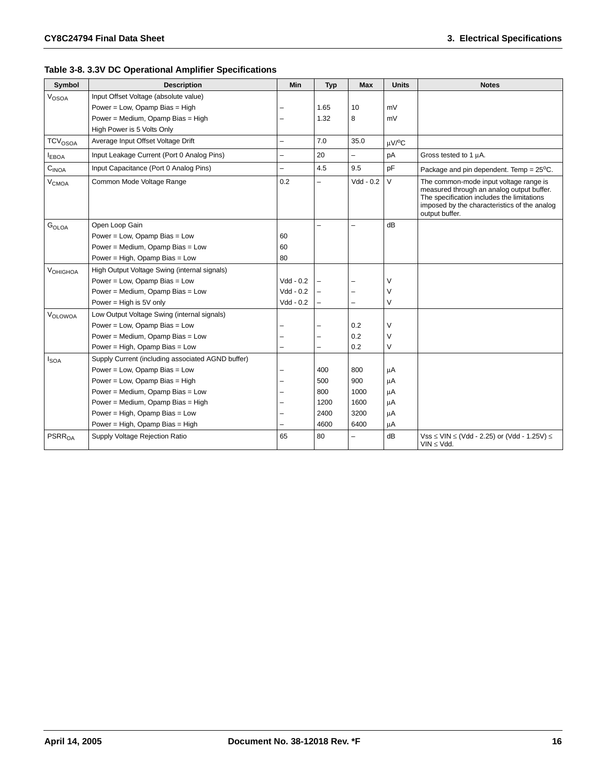| Symbol                       | <b>Description</b>                                | Min                      | <b>Typ</b>               | <b>Max</b>               | <b>Units</b>       | <b>Notes</b>                                                                                                                                                                                        |
|------------------------------|---------------------------------------------------|--------------------------|--------------------------|--------------------------|--------------------|-----------------------------------------------------------------------------------------------------------------------------------------------------------------------------------------------------|
| V <sub>OSOA</sub>            | Input Offset Voltage (absolute value)             |                          |                          |                          |                    |                                                                                                                                                                                                     |
|                              | Power = Low, Opamp Bias = High                    |                          | 1.65                     | 10                       | mV                 |                                                                                                                                                                                                     |
|                              | Power = Medium, Opamp Bias = High                 | ▃                        | 1.32                     | 8                        | mV                 |                                                                                                                                                                                                     |
|                              | High Power is 5 Volts Only                        |                          |                          |                          |                    |                                                                                                                                                                                                     |
| <b>TCV<sub>OSOA</sub></b>    | Average Input Offset Voltage Drift                | $\overline{\phantom{0}}$ | 7.0                      | 35.0                     | uV/ <sup>o</sup> C |                                                                                                                                                                                                     |
| <b>EBOA</b>                  | Input Leakage Current (Port 0 Analog Pins)        | $\overline{\phantom{0}}$ | 20                       | $\overline{\phantom{0}}$ | pA                 | Gross tested to 1 µA.                                                                                                                                                                               |
| $\mathrm{C}_{\mathsf{INOA}}$ | Input Capacitance (Port 0 Analog Pins)            | $\overline{\phantom{0}}$ | 4.5                      | 9.5                      | pF                 | Package and pin dependent. Temp = $25^{\circ}$ C.                                                                                                                                                   |
| V <sub>CMOA</sub>            | Common Mode Voltage Range                         | 0.2                      | $\overline{\phantom{0}}$ | Vdd - 0.2                | $\vee$             | The common-mode input voltage range is<br>measured through an analog output buffer.<br>The specification includes the limitations<br>imposed by the characteristics of the analog<br>output buffer. |
| G <sub>OLOA</sub>            | Open Loop Gain                                    |                          | $\overline{\phantom{0}}$ | $\overline{\phantom{0}}$ | dB                 |                                                                                                                                                                                                     |
|                              | Power = Low, Opamp Bias = Low                     | 60                       |                          |                          |                    |                                                                                                                                                                                                     |
|                              | Power = Medium, Opamp Bias = Low                  | 60                       |                          |                          |                    |                                                                                                                                                                                                     |
|                              | Power = High, Opamp Bias = Low                    | 80                       |                          |                          |                    |                                                                                                                                                                                                     |
| VOHIGHOA                     | High Output Voltage Swing (internal signals)      |                          |                          |                          |                    |                                                                                                                                                                                                     |
|                              | Power = Low, Opamp Bias = Low                     | $Vdd - 0.2$              |                          |                          | V                  |                                                                                                                                                                                                     |
|                              | Power = Medium, Opamp Bias = Low                  | $Vdd - 0.2$              |                          |                          | $\vee$             |                                                                                                                                                                                                     |
|                              | Power = High is $5V$ only                         | $Vdd - 0.2$              | $\overline{\phantom{0}}$ | $\overline{\phantom{0}}$ | $\vee$             |                                                                                                                                                                                                     |
| VOLOWOA                      | Low Output Voltage Swing (internal signals)       |                          |                          |                          |                    |                                                                                                                                                                                                     |
|                              | Power = Low, Opamp Bias = Low                     | ▃                        | $\overline{\phantom{0}}$ | 0.2                      | $\vee$             |                                                                                                                                                                                                     |
|                              | Power = Medium, Opamp Bias = Low                  |                          | $\overline{\phantom{0}}$ | 0.2                      | $\vee$             |                                                                                                                                                                                                     |
|                              | Power = High, Opamp Bias = Low                    | ▃                        | $\overline{\phantom{0}}$ | 0.2                      | $\vee$             |                                                                                                                                                                                                     |
| <b>I</b> SOA                 | Supply Current (including associated AGND buffer) |                          |                          |                          |                    |                                                                                                                                                                                                     |
|                              | Power = Low, Opamp Bias = Low                     |                          | 400                      | 800                      | μA                 |                                                                                                                                                                                                     |
|                              | Power = Low, Opamp Bias = High                    |                          | 500                      | 900                      | μA                 |                                                                                                                                                                                                     |
|                              | Power = Medium, Opamp Bias = Low                  |                          | 800                      | 1000                     | μA                 |                                                                                                                                                                                                     |
|                              | Power = Medium, Opamp Bias = High                 |                          | 1200                     | 1600                     | μA                 |                                                                                                                                                                                                     |
|                              | Power = High, Opamp Bias = Low                    | ▃                        | 2400                     | 3200                     | μA                 |                                                                                                                                                                                                     |
|                              | Power = High, Opamp Bias = High                   |                          | 4600                     | 6400                     | μA                 |                                                                                                                                                                                                     |
| PSRR <sub>0A</sub>           | Supply Voltage Rejection Ratio                    | 65                       | 80                       | $\overline{a}$           | dB                 | $Vss \leq$ VIN $\leq$ (Vdd - 2.25) or (Vdd - 1.25V) $\leq$<br>$VIN \le Vdd.$                                                                                                                        |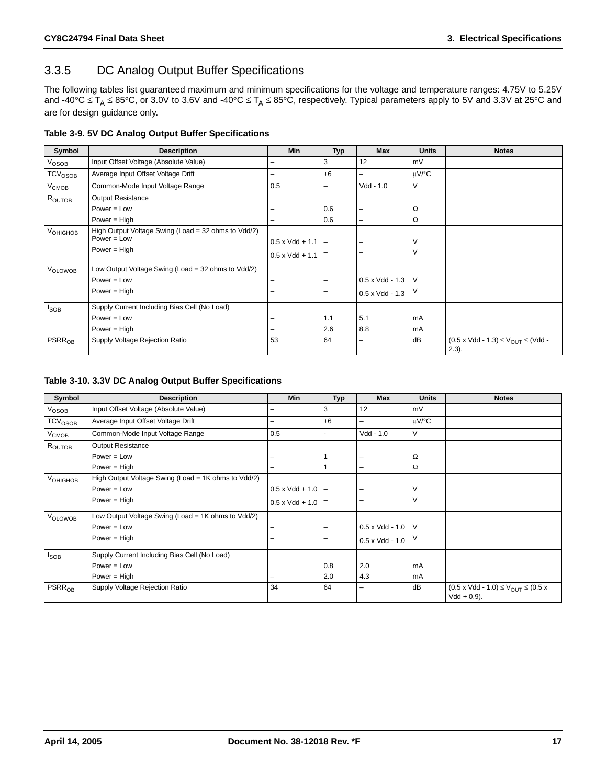### <span id="page-16-0"></span>3.3.5 DC Analog Output Buffer Specifications

The following tables list guaranteed maximum and minimum specifications for the voltage and temperature ranges: 4.75V to 5.25V and -40°C  $\leq T_A \leq 85$ °C, or 3.0V to 3.6V and -40°C  $\leq T_A \leq 85$ °C, respectively. Typical parameters apply to 5V and 3.3V at 25°C and are for design guidance only.

| Symbol                         | <b>Description</b>                                                   | <b>Min</b>                 | <b>Typ</b>               | <b>Max</b>              | <b>Units</b> | <b>Notes</b>                                                          |
|--------------------------------|----------------------------------------------------------------------|----------------------------|--------------------------|-------------------------|--------------|-----------------------------------------------------------------------|
| V <sub>OSOB</sub>              | Input Offset Voltage (Absolute Value)                                | -                          | 3                        | 12                      | mV           |                                                                       |
| $\mathsf{TCV}_{\mathsf{OSOB}}$ | Average Input Offset Voltage Drift                                   | -                          | $+6$                     | -                       | uV/°C        |                                                                       |
| V <sub>CMOB</sub>              | Common-Mode Input Voltage Range                                      | 0.5                        | $\overline{\phantom{0}}$ | Vdd - 1.0               | V            |                                                                       |
| ROUTOB                         | Output Resistance                                                    |                            |                          |                         |              |                                                                       |
|                                | $Power = Low$                                                        |                            | 0.6                      | -                       | $\Omega$     |                                                                       |
|                                | Power $=$ High                                                       |                            | 0.6                      | -                       | $\Omega$     |                                                                       |
| V <sub>OHIGHOB</sub>           | High Output Voltage Swing (Load = 32 ohms to Vdd/2)<br>$Power = Low$ | $0.5 \times Vdd + 1.1$ $-$ |                          |                         | v            |                                                                       |
|                                | Power = $High$                                                       | $0.5 \times Vdd + 1.1$     |                          | -                       | V            |                                                                       |
| <b>VOLOWOB</b>                 | Low Output Voltage Swing (Load = 32 ohms to Vdd/2)                   |                            |                          |                         |              |                                                                       |
|                                | $Power = Low$                                                        |                            | -                        | $0.5 \times V$ dd - 1.3 | l V          |                                                                       |
|                                | Power = $High$                                                       |                            | -                        | $0.5 \times Vdd - 1.3$  | V            |                                                                       |
| $I_{SOB}$                      | Supply Current Including Bias Cell (No Load)                         |                            |                          |                         |              |                                                                       |
|                                | $Power = Low$                                                        |                            | 1.1                      | 5.1                     | mA           |                                                                       |
|                                | Power = $High$                                                       |                            | 2.6                      | 8.8                     | mA           |                                                                       |
| <b>PSRR<sub>OB</sub></b>       | Supply Voltage Rejection Ratio                                       | 53                         | 64                       | -                       | dB           | $(0.5 \times Vdd - 1.3) \leq V_{\text{OUT}} \leq (Vdd -$<br>$(2.3)$ . |

#### **Table 3-10. 3.3V DC Analog Output Buffer Specifications**

| Symbol                     | <b>Description</b>                                  | <b>Min</b>                 | <b>Typ</b>     | <b>Max</b>               | <b>Units</b> | <b>Notes</b>                                                              |
|----------------------------|-----------------------------------------------------|----------------------------|----------------|--------------------------|--------------|---------------------------------------------------------------------------|
| VOSOB                      | Input Offset Voltage (Absolute Value)               | -                          | 3              | 12                       | mV           |                                                                           |
| TCV <sub>OSOB</sub>        | Average Input Offset Voltage Drift                  | -                          | $+6$           | $\overline{\phantom{0}}$ | $\mu$ V/°C   |                                                                           |
| V <sub>CMOB</sub>          | Common-Mode Input Voltage Range                     | 0.5                        | $\blacksquare$ | Vdd - 1.0                | V            |                                                                           |
| ROUTOB                     | Output Resistance                                   |                            |                |                          |              |                                                                           |
|                            | $Power = Low$                                       |                            |                |                          | Ω            |                                                                           |
|                            | Power = $High$                                      |                            |                | -                        | Ω            |                                                                           |
| <b>V<sub>OHIGHOB</sub></b> | High Output Voltage Swing (Load = 1K ohms to Vdd/2) |                            |                |                          |              |                                                                           |
|                            | $Power = Low$                                       | $0.5 \times Vdd + 1.0$   - |                |                          | V            |                                                                           |
|                            | Power = $High$                                      | $0.5 \times Vdd + 1.0$     |                | $\overline{\phantom{0}}$ | $\vee$       |                                                                           |
| VOLOWOB                    | Low Output Voltage Swing (Load = 1K ohms to Vdd/2)  |                            |                |                          |              |                                                                           |
|                            | $Power = Low$                                       |                            | -              | $0.5 \times Vdd - 1.0$ V |              |                                                                           |
|                            | Power = $High$                                      |                            | -              | $0.5 \times Vdd - 1.0$   | 1 V          |                                                                           |
| <sub>SOB</sub>             | Supply Current Including Bias Cell (No Load)        |                            |                |                          |              |                                                                           |
|                            | $Power = Low$                                       |                            | 0.8            | 2.0                      | mA           |                                                                           |
|                            | Power = $High$                                      |                            | 2.0            | 4.3                      | mA           |                                                                           |
| <b>PSRR<sub>OB</sub></b>   | Supply Voltage Rejection Ratio                      | 34                         | 64             |                          | dB           | $(0.5 \times Vdd - 1.0) \leq V_{OIII} \leq (0.5 \times$<br>$Vdd + 0.9$ ). |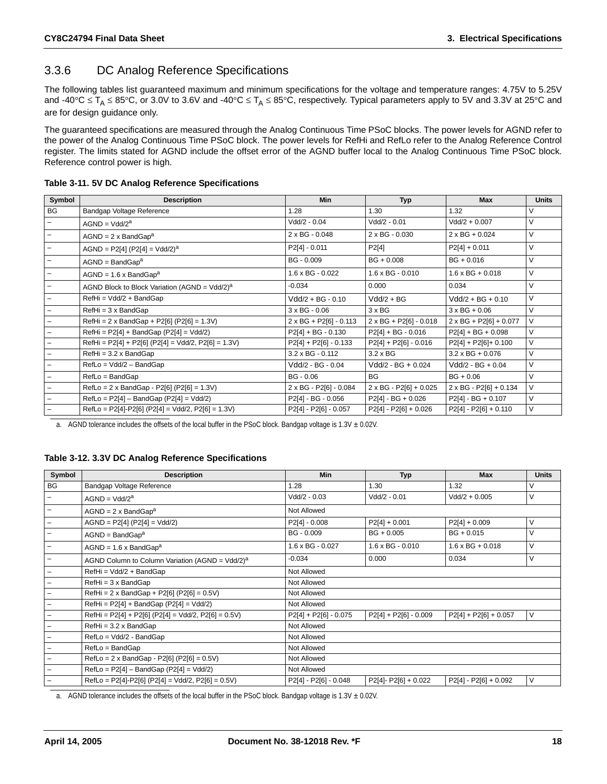### <span id="page-17-0"></span>3.3.6 DC Analog Reference Specifications

The following tables list guaranteed maximum and minimum specifications for the voltage and temperature ranges: 4.75V to 5.25V and -40°C  $\leq T_A \leq 85$ °C, or 3.0V to 3.6V and -40°C  $\leq T_A \leq 85$ °C, respectively. Typical parameters apply to 5V and 3.3V at 25°C and are for design guidance only.

The guaranteed specifications are measured through the Analog Continuous Time PSoC blocks. The power levels for AGND refer to the power of the Analog Continuous Time PSoC block. The power levels for RefHi and RefLo refer to the Analog Reference Control register. The limits stated for AGND include the offset error of the AGND buffer local to the Analog Continuous Time PSoC block. Reference control power is high.

|  |  |  |  | Table 3-11. 5V DC Analog Reference Specifications |
|--|--|--|--|---------------------------------------------------|
|--|--|--|--|---------------------------------------------------|

| Symbol            | <b>Description</b>                                        | <b>Min</b>                    | <b>Typ</b>                    | <b>Max</b>                    | <b>Units</b> |
|-------------------|-----------------------------------------------------------|-------------------------------|-------------------------------|-------------------------------|--------------|
| BG                | Bandgap Voltage Reference                                 | 1.28                          | 1.30                          | 1.32                          | V            |
|                   | $AGND = Vdd/2a$                                           | Vdd/2 - 0.04                  | Vdd/2 - 0.01                  | $Vdd/2 + 0.007$               | V            |
|                   | $AGND = 2 \times BandGapa$                                | 2 x BG - 0.048                | 2 x BG - 0.030                | $2 \times BG + 0.024$         | V            |
|                   | $AGND = P2[4] (P2[4] = Vdd/2)a$                           | $P2[4] - 0.011$               | P2[4]                         | $P2[4] + 0.011$               | V            |
|                   | $AGND = BandGapa$                                         | BG - 0.009                    | $BG + 0.008$                  | $BG + 0.016$                  | V            |
|                   | $AGND = 1.6 \times BandGapa$                              | $1.6 \times BG - 0.022$       | $1.6 \times BG - 0.010$       | $1.6 \times BG + 0.018$       | V            |
|                   | AGND Block to Block Variation (AGND = Vdd/2) <sup>a</sup> | $-0.034$                      | 0.000                         | 0.034                         | V            |
|                   | RefHi = Vdd/2 + BandGap                                   | Vdd/2 + BG - 0.10             | $Vdd/2 + BG$                  | Vdd/2 + BG + 0.10             | V            |
|                   | $RefHi = 3 \times BandGap$                                | $3 \times BG - 0.06$          | $3 \times BG$                 | $3 \times BG + 0.06$          | V            |
|                   | $RefHi = 2 \times BandGap + P2[6] (P2[6] = 1.3V)$         | $2 \times BG + P2[6] - 0.113$ | 2 x BG + P2[6] - 0.018        | $2 \times BG + P2[6] + 0.077$ | $\vee$       |
| $\qquad \qquad -$ | $RefHi = P2[4] + BandGap (P2[4] = Vdd/2)$                 | $P2[4] + BG - 0.130$          | $P2[4] + BG - 0.016$          | $P2[4] + BG + 0.098$          | V            |
|                   | $RefHi = P2[4] + P2[6] (P2[4] = Vdd/2, P2[6] = 1.3V)$     | $P2[4] + P2[6] - 0.133$       | $P2[4] + P2[6] - 0.016$       | $P2[4] + P2[6] + 0.100$       | V            |
|                   | $RefHi = 3.2 \times BandGap$                              | 3.2 x BG - 0.112              | $3.2 \times BG$               | $3.2 \times BG + 0.076$       | V            |
|                   | RefLo = Vdd/2 - BandGap                                   | Vdd/2 - BG - 0.04             | $Vdd/2 - BG + 0.024$          | $Vdd/2 - BG + 0.04$           | V            |
|                   | RefLo = BandGap                                           | $BG - 0.06$                   | <b>BG</b>                     | $BG + 0.06$                   | V            |
|                   | $RefLo = 2 \times BandGap - P2[6] (P2[6] = 1.3V)$         | 2 x BG - P2[6] - 0.084        | $2 \times BG - P2[6] + 0.025$ | $2 \times BG - P2[6] + 0.134$ | V            |
|                   | $RefLo = P2[4] - BandGap (P2[4] = Vdd/2)$                 | P2[4] - BG - 0.056            | $P2[4] - BG + 0.026$          | $P2[4] - BG + 0.107$          | V            |
|                   | $RefLo = P2[4] - P2[6] (P2[4] = Vdd/2, P2[6] = 1.3V)$     | P2[4] - P2[6] - 0.057         | $P2[4] - P2[6] + 0.026$       | $P2[4] - P2[6] + 0.110$       | V            |

a. AGND tolerance includes the offsets of the local buffer in the PSoC block. Bandgap voltage is  $1.3V \pm 0.02V$ .

#### **Table 3-12. 3.3V DC Analog Reference Specifications**

| Symbol                   | <b>Description</b>                                          | <b>Min</b>              | <b>Typ</b>              | <b>Max</b>              | <b>Units</b> |  |  |  |
|--------------------------|-------------------------------------------------------------|-------------------------|-------------------------|-------------------------|--------------|--|--|--|
| BG                       | Bandgap Voltage Reference                                   | 1.28                    | 1.30                    | 1.32                    |              |  |  |  |
| $\overline{\phantom{m}}$ | $AGND = Vdd/2a$                                             | $Vdd/2 - 0.03$          | $Vdd/2 - 0.01$          | $Vdd/2 + 0.005$         | V            |  |  |  |
| $\overline{\phantom{a}}$ | $AGND = 2 \times BandGapa$                                  | Not Allowed             |                         |                         |              |  |  |  |
| $\overline{\phantom{a}}$ | $AGND = P2[4] (P2[4] = Vdd/2)$                              | $P2[4] - 0.008$         | $P2[4] + 0.001$         | $P2[4] + 0.009$         | V            |  |  |  |
| $\overline{\phantom{a}}$ | $AGND = BandGapa$                                           | BG - 0.009              | $BG + 0.005$            | $BG + 0.015$            | V            |  |  |  |
| $\overline{\phantom{m}}$ | $AGND = 1.6 \times BandGapa$                                | $1.6 \times BG - 0.027$ | $1.6 \times BG - 0.010$ | $1.6 \times BG + 0.018$ | V            |  |  |  |
| $\overline{\phantom{a}}$ | AGND Column to Column Variation (AGND = Vdd/2) <sup>a</sup> | $-0.034$                | 0.000                   | 0.034                   | V            |  |  |  |
| $\overline{\phantom{m}}$ | RefHi = Vdd/2 + BandGap                                     | Not Allowed             |                         |                         |              |  |  |  |
| $\qquad \qquad -$        | $RefHi = 3 \times BandGap$                                  | Not Allowed             |                         |                         |              |  |  |  |
| $\overline{\phantom{a}}$ | $RefHi = 2 \times BandGap + P2[6] (P2[6] = 0.5V)$           | Not Allowed             |                         |                         |              |  |  |  |
| $\overline{\phantom{a}}$ | $RefHi = P2[4] + BandGap (P2[4] = Vdd/2)$                   | Not Allowed             |                         |                         |              |  |  |  |
| $\overline{\phantom{a}}$ | $RefHi = P2[4] + P2[6] (P2[4] = Vdd/2, P2[6] = 0.5V)$       | $P2[4] + P2[6] - 0.075$ | $P2[4] + P2[6] - 0.009$ | $P2[4] + P2[6] + 0.057$ | V            |  |  |  |
| $\overline{\phantom{a}}$ | $RefHi = 3.2 x BandGap$                                     | Not Allowed             |                         |                         |              |  |  |  |
| $\qquad \qquad -$        | RefLo = Vdd/2 - BandGap                                     | Not Allowed             |                         |                         |              |  |  |  |
| $\overline{\phantom{a}}$ | RefLo = BandGap                                             | Not Allowed             |                         |                         |              |  |  |  |
| $\overline{\phantom{m}}$ | $RefLo = 2 \times BandGap - P2[6] (P2[6] = 0.5V)$           | Not Allowed             |                         |                         |              |  |  |  |
| $\overline{\phantom{a}}$ | $RefLo = P2[4] - BandGap (P2[4] = Vdd/2)$                   | Not Allowed             |                         |                         |              |  |  |  |
| -                        | $RefLo = P2[4]-P2[6] (P2[4] = Vdd/2, P2[6] = 0.5V)$         | P2[4] - P2[6] - 0.048   | $P2[4] - P2[6] + 0.022$ | $P2[4] - P2[6] + 0.092$ | V            |  |  |  |

a. AGND tolerance includes the offsets of the local buffer in the PSoC block. Bandgap voltage is  $1.3V \pm 0.02V$ .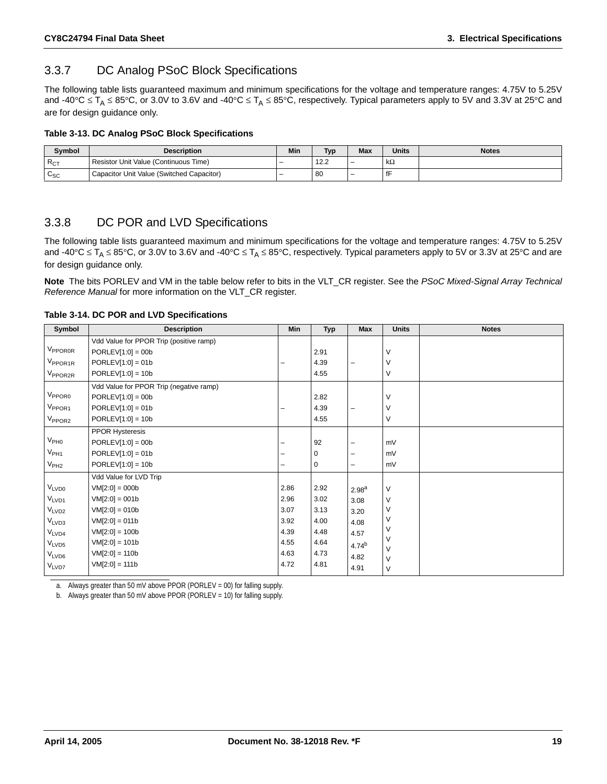### <span id="page-18-0"></span>3.3.7 DC Analog PSoC Block Specifications

The following table lists guaranteed maximum and minimum specifications for the voltage and temperature ranges: 4.75V to 5.25V and -40°C  $\leq T_A \leq 85$ °C, or 3.0V to 3.6V and -40°C  $\leq T_A \leq 85$ °C, respectively. Typical parameters apply to 5V and 3.3V at 25°C and are for design guidance only.

#### **Table 3-13. DC Analog PSoC Block Specifications**

| Symbol             | <b>Description</b>                        | Min                      | <b>Typ</b> | <b>Max</b> | <b>Units</b> | <b>Notes</b> |
|--------------------|-------------------------------------------|--------------------------|------------|------------|--------------|--------------|
| $R_{CT}$           | Resistor Unit Value (Continuous Time)     | $\overline{\phantom{0}}$ | 12.2       | -          | $k\Omega$    |              |
| $\sim$<br>$v_{SC}$ | Capacitor Unit Value (Switched Capacitor) | $\overline{\phantom{0}}$ | -80        | -          |              |              |

#### <span id="page-18-1"></span>3.3.8 DC POR and LVD Specifications

The following table lists guaranteed maximum and minimum specifications for the voltage and temperature ranges: 4.75V to 5.25V and -40°C  $\leq T_A \leq 85$ °C, or 3.0V to 3.6V and -40°C  $\leq T_A \leq 85$ °C, respectively. Typical parameters apply to 5V or 3.3V at 25°C and are for design guidance only.

**Note** The bits PORLEV and VM in the table below refer to bits in the VLT\_CR register. See the *PSoC Mixed-Signal Array Technical Reference Manual* for more information on the VLT\_CR register.

<span id="page-18-2"></span>**Table 3-14. DC POR and LVD Specifications**

| Symbol              | <b>Description</b>                      | Min  | <b>Typ</b> | Max               | <b>Units</b>     | <b>Notes</b> |
|---------------------|-----------------------------------------|------|------------|-------------------|------------------|--------------|
|                     | Vdd Value for PPOR Trip (positive ramp) |      |            |                   |                  |              |
| V <sub>PPOROR</sub> | $PORLEV[1:0] = 00b$                     |      | 2.91       |                   | $\vee$           |              |
| V <sub>PPOR1R</sub> | $PORLEV[1:0] = 01b$                     |      | 4.39       | -                 | $\vee$           |              |
| V <sub>PPOR2R</sub> | $PORLEV[1:0] = 10b$                     |      | 4.55       |                   | $\vee$           |              |
|                     | Vdd Value for PPOR Trip (negative ramp) |      |            |                   |                  |              |
| V <sub>PPOR0</sub>  | $PORLEV[1:0] = 00b$                     |      | 2.82       |                   | $\vee$           |              |
| V <sub>PPOR1</sub>  | $PORLEV[1:0] = 01b$                     |      | 4.39       | L.                | $\vee$           |              |
| $V_{PPOR2}$         | $PORLEV[1:0] = 10b$                     |      | 4.55       |                   | $\vee$           |              |
|                     | <b>PPOR Hysteresis</b>                  |      |            |                   |                  |              |
| V <sub>PH0</sub>    | $PORLEV[1:0] = 00b$                     |      | 92         | -                 | mV               |              |
| $V_{PH1}$           | $PORLEV[1:0] = 01b$                     |      | 0          | L.                | mV               |              |
| V <sub>PH2</sub>    | $PORLEV[1:0] = 10b$                     | -    | 0          | ۰                 | mV               |              |
|                     | Vdd Value for LVD Trip                  |      |            |                   |                  |              |
| $V_{LVD0}$          | $VM[2:0] = 000b$                        | 2.86 | 2.92       | 2.98 <sup>a</sup> | $\vee$           |              |
| V <sub>LVD1</sub>   | $VM[2:0] = 001b$                        | 2.96 | 3.02       | 3.08              | V                |              |
| V <sub>LVD2</sub>   | $VM[2:0] = 010b$                        | 3.07 | 3.13       | 3.20              | $\vee$           |              |
| V <sub>LVD3</sub>   | $VM[2:0] = 011b$                        | 3.92 | 4.00       | 4.08              | $\vee$           |              |
| V <sub>LVD4</sub>   | $VM[2:0] = 100b$                        | 4.39 | 4.48       | 4.57              | V                |              |
| V <sub>LVD5</sub>   | $VM[2:0] = 101b$                        | 4.55 | 4.64       | 4.74 <sup>b</sup> | $\vee$<br>$\vee$ |              |
| VLVD6               | $VM[2:0] = 110b$                        | 4.63 | 4.73       | 4.82              | $\vee$           |              |
| VLVD7               | $VM[2:0] = 111b$                        | 4.72 | 4.81       | 4.91              | V                |              |

a. Always greater than 50 mV above PPOR (PORLEV = 00) for falling supply.

b. Always greater than 50 mV above PPOR (PORLEV = 10) for falling supply.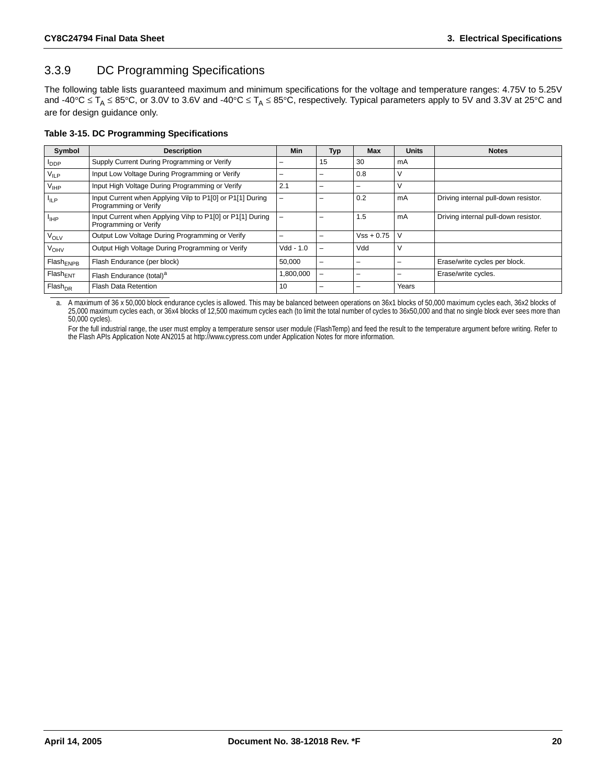### <span id="page-19-0"></span>3.3.9 DC Programming Specifications

The following table lists guaranteed maximum and minimum specifications for the voltage and temperature ranges: 4.75V to 5.25V and -40°C  $\leq$  T<sub>A</sub>  $\leq$  85°C, or 3.0V to 3.6V and -40°C  $\leq$  T<sub>A</sub>  $\leq$  85°C, respectively. Typical parameters apply to 5V and 3.3V at 25°C and are for design guidance only.

#### **Table 3-15. DC Programming Specifications**

| Symbol                 | <b>Description</b>                                                                 | Min               | <b>Typ</b>               | <b>Max</b>   | <b>Units</b> | <b>Notes</b>                         |
|------------------------|------------------------------------------------------------------------------------|-------------------|--------------------------|--------------|--------------|--------------------------------------|
| <b>PDDP</b>            | Supply Current During Programming or Verify                                        |                   | 15                       | 30           | mA           |                                      |
| $V_{ILP}$              | Input Low Voltage During Programming or Verify                                     | -                 |                          | 0.8          | v            |                                      |
| $V_{IHP}$              | Input High Voltage During Programming or Verify                                    | 2.1               |                          | -            |              |                                      |
| $I_{ILP}$              | Input Current when Applying Vilp to P1[0] or P1[1] During<br>Programming or Verify | $\qquad \qquad -$ |                          | 0.2          | mA           | Driving internal pull-down resistor. |
| $I_{\text{HP}}$        | Input Current when Applying Vihp to P1[0] or P1[1] During<br>Programming or Verify | -                 |                          | 1.5          | mA           | Driving internal pull-down resistor. |
| <b>V<sub>OLV</sub></b> | Output Low Voltage During Programming or Verify                                    |                   |                          | $Vss + 0.75$ | V            |                                      |
| <b>V<sub>OHV</sub></b> | Output High Voltage During Programming or Verify                                   | $Vdd - 1.0$       | $\overline{\phantom{0}}$ | Vdd          | V            |                                      |
| Flash <sub>ENPB</sub>  | Flash Endurance (per block)                                                        | 50,000            | -                        |              |              | Erase/write cycles per block.        |
| $Flash_{ENT}$          | Flash Endurance (total) <sup>a</sup>                                               | ,800,000          | -                        | -            |              | Erase/write cycles.                  |
| Flash <sub>DR</sub>    | Flash Data Retention                                                               | 10                |                          | -            | Years        |                                      |

a. A maximum of 36 x 50,000 block endurance cycles is allowed. This may be balanced between operations on 36x1 blocks of 50,000 maximum cycles each, 36x2 blocks of 25,000 maximum cycles each, or 36x4 blocks of 12,500 maximum cycles each (to limit the total number of cycles to 36x50,000 and that no single block ever sees more than 50,000 cycles).

For the full industrial range, the user must employ a temperature sensor user module (FlashTemp) and feed the result to the temperature argument before writing. Refer to<br>the Flash APIs Application Note AN2015 at http://www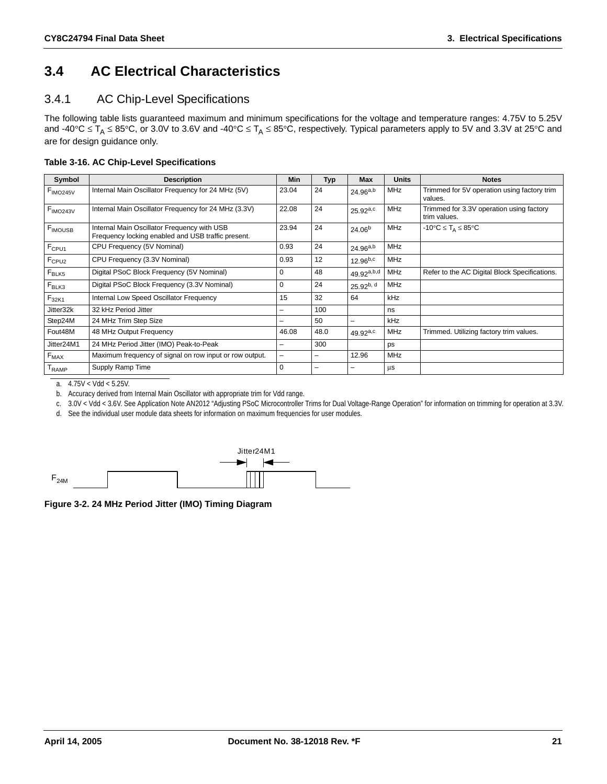### <span id="page-20-0"></span>**3.4 AC Electrical Characteristics**

#### <span id="page-20-1"></span>3.4.1 AC Chip-Level Specifications

The following table lists guaranteed maximum and minimum specifications for the voltage and temperature ranges: 4.75V to 5.25V and -40°C  $\leq$  T<sub>A</sub>  $\leq$  85°C, or 3.0V to 3.6V and -40°C  $\leq$  T<sub>A</sub>  $\leq$  85°C, respectively. Typical parameters apply to 5V and 3.3V at 25°C and are for design guidance only.

**Table 3-16. AC Chip-Level Specifications**

| Symbol               | <b>Description</b>                                                                                | <b>Min</b>               | <b>Typ</b> | Max             | <b>Units</b> | <b>Notes</b>                                                 |
|----------------------|---------------------------------------------------------------------------------------------------|--------------------------|------------|-----------------|--------------|--------------------------------------------------------------|
| F <sub>IMO245V</sub> | Internal Main Oscillator Frequency for 24 MHz (5V)                                                | 23.04                    | 24         | $24.96^{a,b}$   | <b>MHz</b>   | Trimmed for 5V operation using factory trim<br>values.       |
| F <sub>IMO243V</sub> | Internal Main Oscillator Frequency for 24 MHz (3.3V)                                              | 22.08                    | 24         | $25.92^{a,c}$   | MHz          | Trimmed for 3.3V operation using factory<br>trim values.     |
| <b>F</b> IMOUSB      | Internal Main Oscillator Frequency with USB<br>Frequency locking enabled and USB traffic present. | 23.94                    | 24         | $24.06^{b}$     | MHz          | $-10^{\circ}$ C $\leq$ T <sub>A</sub> $\leq$ 85 $^{\circ}$ C |
| F <sub>CPU1</sub>    | CPU Frequency (5V Nominal)                                                                        | 0.93                     | 24         | $24.96^{a,b}$   | <b>MHz</b>   |                                                              |
| $F_{CPU2}$           | CPU Frequency (3.3V Nominal)                                                                      | 0.93                     | 12         | $12.96^{b,c}$   | MHz          |                                                              |
| $F_{BLK5}$           | Digital PSoC Block Frequency (5V Nominal)                                                         | 0                        | 48         | $49.92^{a,b,d}$ | MHz          | Refer to the AC Digital Block Specifications.                |
| $F_{BLK3}$           | Digital PSoC Block Frequency (3.3V Nominal)                                                       | $\mathbf 0$              | 24         | $25.92^{b, d}$  | MHz          |                                                              |
| F <sub>32K1</sub>    | Internal Low Speed Oscillator Frequency                                                           | 15                       | 32         | 64              | kHz          |                                                              |
| Jitter32k            | 32 kHz Period Jitter                                                                              |                          | 100        |                 | ns           |                                                              |
| Step24M              | 24 MHz Trim Step Size                                                                             |                          | 50         | -               | kHz          |                                                              |
| Fout48M              | 48 MHz Output Frequency                                                                           | 46.08                    | 48.0       | $49.92^{a,c}$   | MHz          | Trimmed. Utilizing factory trim values.                      |
| Jitter24M1           | 24 MHz Period Jitter (IMO) Peak-to-Peak                                                           | $\overline{\phantom{0}}$ | 300        |                 | ps           |                                                              |
| $F_{MAX}$            | Maximum frequency of signal on row input or row output.                                           | $\qquad \qquad -$        | -          | 12.96           | MHz          |                                                              |
| <sup>I</sup> RAMP    | Supply Ramp Time                                                                                  | $\mathbf 0$              |            |                 | μs           |                                                              |

a. 4.75V < Vdd < 5.25V.

b. Accuracy derived from Internal Main Oscillator with appropriate trim for Vdd range.

c. 3.0V < Vdd < 3.6V. See Application Note AN2012 "Adjusting PSoC Microcontroller Trims for Dual Voltage-Range Operation" for information on trimming for operation at 3.3V.

d. See the individual user module data sheets for information on maximum frequencies for user modules.



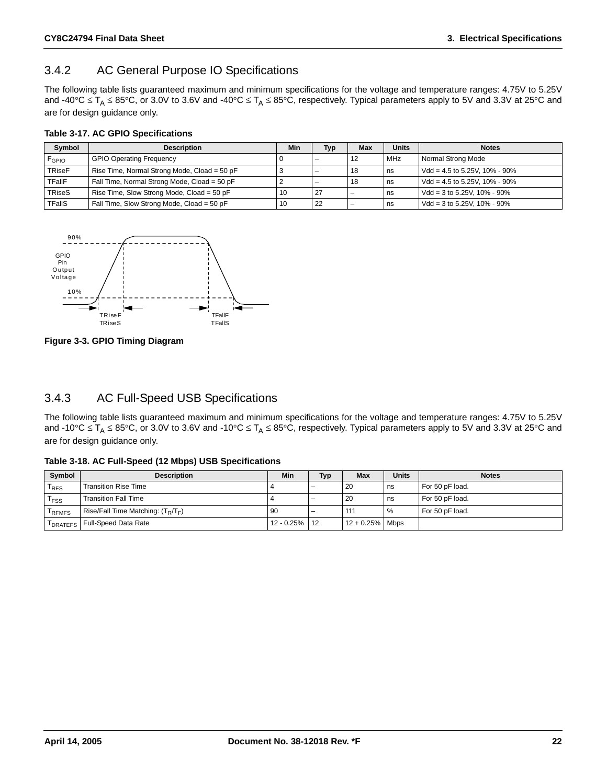### <span id="page-21-0"></span>3.4.2 AC General Purpose IO Specifications

The following table lists guaranteed maximum and minimum specifications for the voltage and temperature ranges: 4.75V to 5.25V and -40°C  $\leq T_A \leq 85$ °C, or 3.0V to 3.6V and -40°C  $\leq T_A \leq 85$ °C, respectively. Typical parameters apply to 5V and 3.3V at 25°C and are for design guidance only.

#### **Table 3-17. AC GPIO Specifications**

| Symbol        | <b>Description</b>                           | Min | Typ  | <b>Max</b> | <b>Units</b> | <b>Notes</b>                           |
|---------------|----------------------------------------------|-----|------|------------|--------------|----------------------------------------|
| $F_{GPIO}$    | <b>GPIO Operating Frequency</b>              |     |      | -12        | <b>MHz</b>   | Normal Strong Mode                     |
| <b>TRiseF</b> | Rise Time, Normal Strong Mode, Cload = 50 pF |     |      | 18         | ns           | Vdd = 4.5 to 5.25V, 10% - 90%          |
| <b>TFallF</b> | Fall Time, Normal Strong Mode, Cload = 50 pF |     |      | 18         | ns -         | Vdd = 4.5 to 5.25V, 10% - 90%          |
| TRiseS        | Rise Time, Slow Strong Mode, Cload = 50 pF   | 10  | 27 ا |            | l ns         | Vdd = $3$ to $5.25V$ , $10\%$ - $90\%$ |
| <b>TFallS</b> | Fall Time, Slow Strong Mode, Cload = 50 pF   | 10  | -22  |            | ns -         | Vdd = 3 to 5.25V, $10\%$ - 90%         |



**Figure 3-3. GPIO Timing Diagram**

### <span id="page-21-1"></span>3.4.3 AC Full-Speed USB Specifications

The following table lists guaranteed maximum and minimum specifications for the voltage and temperature ranges: 4.75V to 5.25V and -10°C  $\leq T_A \leq 85$ °C, or 3.0V to 3.6V and -10°C  $\leq T_A \leq 85$ °C, respectively. Typical parameters apply to 5V and 3.3V at 25°C and are for design guidance only.

**Table 3-18. AC Full-Speed (12 Mbps) USB Specifications**

| Symbol           | <b>Description</b>                   | <b>Min</b>    | Typ | <b>Max</b>         | <b>Units</b>  | <b>Notes</b>    |
|------------------|--------------------------------------|---------------|-----|--------------------|---------------|-----------------|
| <sup>I</sup> RFS | <b>Transition Rise Time</b>          |               |     | 20                 | l ns          | For 50 pF load. |
| <sup>I</sup> FSS | <b>Transition Fall Time</b>          |               |     | -20                | l ns          | For 50 pF load. |
| <b>REMES</b>     | Rise/Fall Time Matching: $(T_R/T_F)$ | 90            | -   | 111                | $\frac{9}{6}$ | For 50 pF load. |
| <b>DRATEFS</b>   | Full-Speed Data Rate                 | 12 - 0.25% 12 |     | $12 + 0.25\%$ Mbps |               |                 |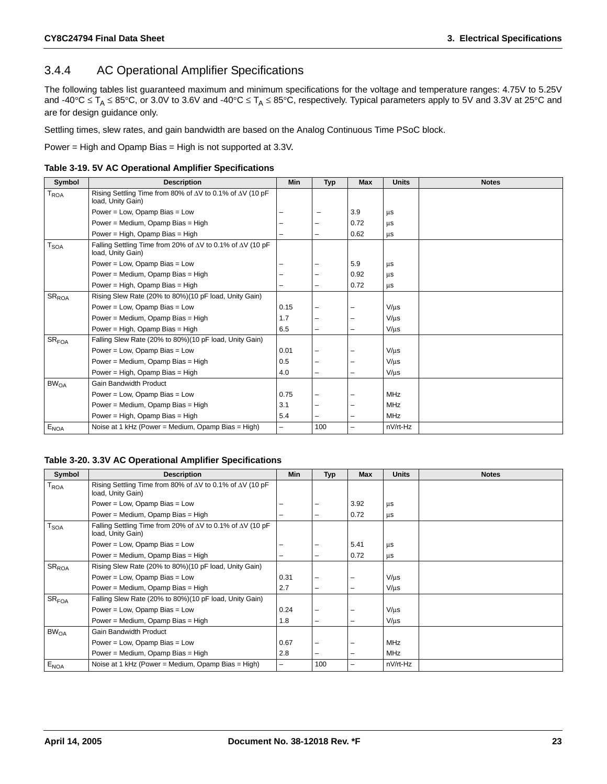### <span id="page-22-0"></span>3.4.4 AC Operational Amplifier Specifications

The following tables list guaranteed maximum and minimum specifications for the voltage and temperature ranges: 4.75V to 5.25V and -40°C  $\leq T_A \leq 85$ °C, or 3.0V to 3.6V and -40°C  $\leq T_A \leq 85$ °C, respectively. Typical parameters apply to 5V and 3.3V at 25°C and are for design guidance only.

Settling times, slew rates, and gain bandwidth are based on the Analog Continuous Time PSoC block.

Power = High and Opamp Bias = High is not supported at 3.3V.

|  |  |  | Table 3-19. 5V AC Operational Amplifier Specifications |
|--|--|--|--------------------------------------------------------|
|  |  |  |                                                        |

| Symbol               | <b>Description</b>                                                                            | Min  | <b>Typ</b> | <b>Max</b>               | <b>Units</b> | <b>Notes</b> |
|----------------------|-----------------------------------------------------------------------------------------------|------|------------|--------------------------|--------------|--------------|
| $T_{ROA}$            | Rising Settling Time from 80% of $\Delta V$ to 0.1% of $\Delta V$ (10 pF<br>load, Unity Gain) |      |            |                          |              |              |
|                      | Power = Low, Opamp Bias = Low                                                                 |      |            | 3.9                      | μs           |              |
|                      | Power = Medium, Opamp Bias = High                                                             |      |            | 0.72                     | μs           |              |
|                      | Power = High, Opamp Bias = High                                                               |      | $\equiv$   | 0.62                     | μs           |              |
| $T_{\text{SOA}}$     | Falling Settling Time from 20% of ∆V to 0.1% of ∆V (10 pF<br>load, Unity Gain)                |      |            |                          |              |              |
|                      | Power = Low, Opamp Bias = Low                                                                 |      |            | 5.9                      | μs           |              |
|                      | Power = Medium, Opamp Bias = High                                                             |      |            | 0.92                     | μs           |              |
|                      | Power = High, Opamp Bias = High                                                               |      | -          | 0.72                     | μs           |              |
| ${\rm SR}_{\rm ROA}$ | Rising Slew Rate (20% to 80%)(10 pF load, Unity Gain)                                         |      |            |                          |              |              |
|                      | Power = Low, Opamp Bias = Low                                                                 | 0.15 |            |                          | $V/\mu s$    |              |
|                      | Power = Medium, Opamp Bias = High                                                             | 1.7  |            |                          | $V/\mu s$    |              |
|                      | Power = High, Opamp Bias = High                                                               | 6.5  | -          | -                        | $V/\mu s$    |              |
| SR <sub>FOA</sub>    | Falling Slew Rate (20% to 80%)(10 pF load, Unity Gain)                                        |      |            |                          |              |              |
|                      | Power = Low, Opamp Bias = Low                                                                 | 0.01 |            |                          | $V/\mu s$    |              |
|                      | Power = Medium, Opamp Bias = High                                                             | 0.5  |            |                          | $V/ \mu s$   |              |
|                      | Power = High, Opamp Bias = High                                                               | 4.0  |            |                          | $V/\mu s$    |              |
| BW <sub>OA</sub>     | Gain Bandwidth Product                                                                        |      |            |                          |              |              |
|                      | Power = Low, Opamp Bias = Low                                                                 | 0.75 |            |                          | <b>MHz</b>   |              |
|                      | Power = Medium, Opamp Bias = High                                                             | 3.1  |            |                          | MHz          |              |
|                      | Power = High, Opamp Bias = High                                                               | 5.4  |            | $\overline{\phantom{0}}$ | <b>MHz</b>   |              |
| $E_{NOA}$            | Noise at 1 kHz (Power = Medium, Opamp Bias = High)                                            | -    | 100        | $\overline{\phantom{0}}$ | nV/rt-Hz     |              |

#### **Table 3-20. 3.3V AC Operational Amplifier Specifications**

| Symbol            | <b>Description</b>                                                                             | <b>Min</b>               | <b>Typ</b> | <b>Max</b> | <b>Units</b> | <b>Notes</b> |
|-------------------|------------------------------------------------------------------------------------------------|--------------------------|------------|------------|--------------|--------------|
| T <sub>ROA</sub>  | Rising Settling Time from 80% of $\Delta V$ to 0.1% of $\Delta V$ (10 pF<br>load, Unity Gain)  |                          |            |            |              |              |
|                   | Power = Low, Opamp Bias = Low                                                                  |                          |            | 3.92       | μs           |              |
|                   | Power = Medium, Opamp Bias = High                                                              | -                        | -          | 0.72       | μs           |              |
| $T_{\text{SOA}}$  | Falling Settling Time from 20% of $\Delta V$ to 0.1% of $\Delta V$ (10 pF<br>load, Unity Gain) |                          |            |            |              |              |
|                   | Power = Low, Opamp Bias = Low                                                                  |                          |            | 5.41       | us           |              |
|                   | Power = Medium, Opamp Bias = High                                                              | -                        | -          | 0.72       | μs           |              |
| $SR_{ROA}$        | Rising Slew Rate (20% to 80%)(10 pF load, Unity Gain)                                          |                          |            |            |              |              |
|                   | Power = Low, Opamp Bias = Low                                                                  | 0.31                     |            | -          | $V/\mu s$    |              |
|                   | Power = Medium, Opamp Bias = High                                                              | 2.7                      | -          | -          | $V/\mu s$    |              |
| SR <sub>FOA</sub> | Falling Slew Rate (20% to 80%)(10 pF load, Unity Gain)                                         |                          |            |            |              |              |
|                   | Power = Low, Opamp Bias = Low                                                                  | 0.24                     |            | -          | $V/\mu s$    |              |
|                   | Power = Medium, Opamp Bias = High                                                              | 1.8                      |            | -          | $V/\mu s$    |              |
| BW <sub>OA</sub>  | <b>Gain Bandwidth Product</b>                                                                  |                          |            |            |              |              |
|                   | Power = Low, Opamp Bias = Low                                                                  | 0.67                     |            | -          | <b>MHz</b>   |              |
|                   | Power = Medium, Opamp Bias = High                                                              | 2.8                      |            | -          | <b>MHz</b>   |              |
| $E_{NOA}$         | Noise at 1 kHz (Power = Medium, Opamp Bias = High)                                             | $\overline{\phantom{0}}$ | 100        | -          | nV/rt-Hz     |              |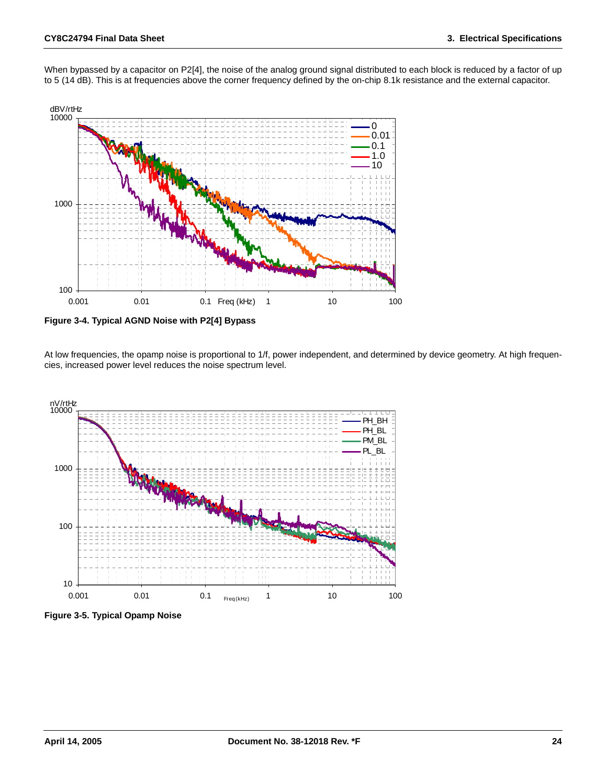

When bypassed by a capacitor on P2[4], the noise of the analog ground signal distributed to each block is reduced by a factor of up to 5 (14 dB). This is at frequencies above the corner frequency defined by the on-chip 8.1k resistance and the external capacitor.

**Figure 3-4. Typical AGND Noise with P2[4] Bypass**

At low frequencies, the opamp noise is proportional to 1/f, power independent, and determined by device geometry. At high frequencies, increased power level reduces the noise spectrum level.



**Figure 3-5. Typical Opamp Noise**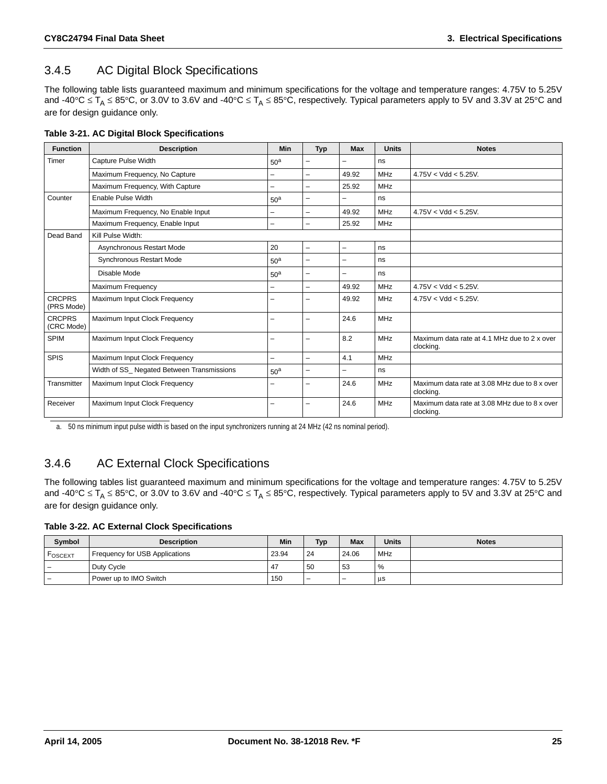### <span id="page-24-0"></span>3.4.5 AC Digital Block Specifications

The following table lists guaranteed maximum and minimum specifications for the voltage and temperature ranges: 4.75V to 5.25V and -40°C  $\leq$  T<sub>A</sub>  $\leq$  85°C, or 3.0V to 3.6V and -40°C  $\leq$  T<sub>A</sub>  $\leq$  85°C, respectively. Typical parameters apply to 5V and 3.3V at 25°C and are for design guidance only.

| Table 3-21. AC Digital Block Specifications |  |  |  |
|---------------------------------------------|--|--|--|
|                                             |  |  |  |

| <b>Function</b>             | <b>Description</b>                        | Min             | <b>Typ</b>               | <b>Max</b>               | <b>Units</b> | <b>Notes</b>                                               |
|-----------------------------|-------------------------------------------|-----------------|--------------------------|--------------------------|--------------|------------------------------------------------------------|
| Timer                       | Capture Pulse Width                       | 50 <sup>a</sup> | ▃                        |                          | ns           |                                                            |
|                             | Maximum Frequency, No Capture             | -               | -                        | 49.92                    | MHz          | $4.75V < Vdd < 5.25V$ .                                    |
|                             | Maximum Frequency, With Capture           | ▃               | ▃                        | 25.92                    | <b>MHz</b>   |                                                            |
| Counter                     | Enable Pulse Width                        | 50 <sup>a</sup> | $\overline{\phantom{0}}$ |                          | ns           |                                                            |
|                             | Maximum Frequency, No Enable Input        |                 | ▃                        | 49.92                    | MHz          | $4.75V < Vdd < 5.25V$ .                                    |
|                             | Maximum Frequency, Enable Input           | ▃               | ÷,                       | 25.92                    | <b>MHz</b>   |                                                            |
| Dead Band                   | Kill Pulse Width:                         |                 |                          |                          |              |                                                            |
|                             | Asynchronous Restart Mode                 | 20              | -                        | $\overline{\phantom{0}}$ | ns           |                                                            |
|                             | <b>Synchronous Restart Mode</b>           | 50 <sup>a</sup> | -                        |                          | ns           |                                                            |
|                             | Disable Mode                              | 50 <sup>a</sup> | -                        |                          | ns           |                                                            |
|                             | <b>Maximum Frequency</b>                  | -               | $\overline{\phantom{0}}$ | 49.92                    | <b>MHz</b>   | $4.75V < Vdd < 5.25V$ .                                    |
| <b>CRCPRS</b><br>(PRS Mode) | Maximum Input Clock Frequency             |                 | -                        | 49.92                    | MHz          | $4.75V < Vdd < 5.25V$ .                                    |
| <b>CRCPRS</b><br>(CRC Mode) | Maximum Input Clock Frequency             |                 | ▃                        | 24.6                     | MHz          |                                                            |
| <b>SPIM</b>                 | Maximum Input Clock Frequency             |                 | -                        | 8.2                      | <b>MHz</b>   | Maximum data rate at 4.1 MHz due to 2 x over<br>clocking.  |
| <b>SPIS</b>                 | Maximum Input Clock Frequency             | ÷,              | $\overline{\phantom{0}}$ | 4.1                      | <b>MHz</b>   |                                                            |
|                             | Width of SS Negated Between Transmissions | 50 <sup>a</sup> | -                        |                          | ns           |                                                            |
| Transmitter                 | Maximum Input Clock Frequency             | -               | ▃                        | 24.6                     | MHz          | Maximum data rate at 3.08 MHz due to 8 x over<br>clocking. |
| Receiver                    | Maximum Input Clock Frequency             |                 | ▃                        | 24.6                     | MHz          | Maximum data rate at 3.08 MHz due to 8 x over<br>clocking. |

a. 50 ns minimum input pulse width is based on the input synchronizers running at 24 MHz (42 ns nominal period).

### <span id="page-24-1"></span>3.4.6 AC External Clock Specifications

The following tables list guaranteed maximum and minimum specifications for the voltage and temperature ranges: 4.75V to 5.25V and -40°C  $\leq T_A \leq 85$ °C, or 3.0V to 3.6V and -40°C  $\leq T_A \leq 85$ °C, respectively. Typical parameters apply to 5V and 3.3V at 25°C and are for design guidance only.

#### **Table 3-22. AC External Clock Specifications**

| Symbol              | <b>Description</b>             |                | <b>Typ</b> | <b>Max</b>               | <b>Units</b> | <b>Notes</b> |
|---------------------|--------------------------------|----------------|------------|--------------------------|--------------|--------------|
| $^\mathsf{ToSCEXT}$ | Frequency for USB Applications | 23.94          | 24         | 24.06                    | MHz          |              |
| -                   | Duty Cycle                     | 4 <sub>1</sub> | 50         | 53                       | %            |              |
| -                   | Power up to IMO Switch         | 150            | -          | $\overline{\phantom{0}}$ | μs           |              |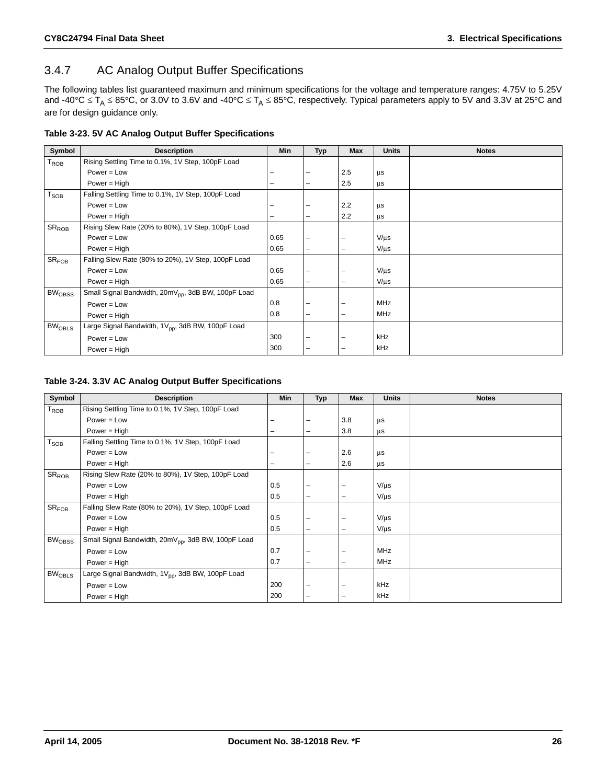### <span id="page-25-0"></span>3.4.7 AC Analog Output Buffer Specifications

The following tables list guaranteed maximum and minimum specifications for the voltage and temperature ranges: 4.75V to 5.25V and -40°C  $\leq T_A \leq 85$ °C, or 3.0V to 3.6V and -40°C  $\leq T_A \leq 85$ °C, respectively. Typical parameters apply to 5V and 3.3V at 25°C and are for design guidance only.

|  |  | Table 3-23. 5V AC Analog Output Buffer Specifications |
|--|--|-------------------------------------------------------|
|  |  |                                                       |

| Symbol                   | <b>Description</b>                                              | <b>Min</b> | <b>Typ</b>               | <b>Max</b>      | <b>Units</b> | <b>Notes</b> |
|--------------------------|-----------------------------------------------------------------|------------|--------------------------|-----------------|--------------|--------------|
| $T_{ROB}$                | Rising Settling Time to 0.1%, 1V Step, 100pF Load               |            |                          |                 |              |              |
|                          | $Power = Low$                                                   |            |                          | 2.5             | μs           |              |
|                          | Power = High                                                    |            | $\overline{\phantom{0}}$ | 2.5             | μs           |              |
| T <sub>SOB</sub>         | Falling Settling Time to 0.1%, 1V Step, 100pF Load              |            |                          |                 |              |              |
|                          | $Power = Low$                                                   |            |                          | 2.2             | $\mu$ s      |              |
|                          | Power = $High$                                                  |            | $\overline{\phantom{0}}$ | 2.2             | $\mu s$      |              |
| $SR_{ROB}$               | Rising Slew Rate (20% to 80%), 1V Step, 100pF Load              |            |                          |                 |              |              |
|                          | $Power = Low$                                                   | 0.65       | -                        |                 | $V/\mu s$    |              |
|                          | Power = $High$                                                  | 0.65       | $\overline{\phantom{0}}$ | $\qquad \qquad$ | $V/\mu s$    |              |
| SR <sub>FOB</sub>        | Falling Slew Rate (80% to 20%), 1V Step, 100pF Load             |            |                          |                 |              |              |
|                          | $Power = Low$                                                   | 0.65       | -                        |                 | $V/\mu s$    |              |
|                          | $Power = High$                                                  | 0.65       | $\overline{\phantom{0}}$ | $\qquad \qquad$ | $V/\mu s$    |              |
| <b>BW<sub>OBSS</sub></b> | Small Signal Bandwidth, 20mV <sub>pp</sub> , 3dB BW, 100pF Load |            |                          |                 |              |              |
|                          | $Power = Low$                                                   | 0.8        |                          |                 | <b>MHz</b>   |              |
|                          | Power = $High$                                                  | 0.8        | -                        | -               | MHz          |              |
| BW <sub>OBLS</sub>       | Large Signal Bandwidth, 1V <sub>pp</sub> , 3dB BW, 100pF Load   |            |                          |                 |              |              |
|                          | $Power = Low$                                                   | 300        |                          |                 | kHz          |              |
|                          | Power = $High$                                                  | 300        | $\overline{\phantom{0}}$ | -               | kHz          |              |

#### **Table 3-24. 3.3V AC Analog Output Buffer Specifications**

| Symbol                   | <b>Description</b>                                              | <b>Min</b> | <b>Typ</b>               | Max                      | <b>Units</b> | <b>Notes</b> |
|--------------------------|-----------------------------------------------------------------|------------|--------------------------|--------------------------|--------------|--------------|
| $T_{ROB}$                | Rising Settling Time to 0.1%, 1V Step, 100pF Load               |            |                          |                          |              |              |
|                          | $Power = Low$                                                   |            |                          | 3.8                      | μs           |              |
|                          | Power = $High$                                                  | -          | $\overline{\phantom{0}}$ | 3.8                      | $\mu$ s      |              |
| $T_{\text{SOB}}$         | Falling Settling Time to 0.1%, 1V Step, 100pF Load              |            |                          |                          |              |              |
|                          | $Power = Low$                                                   |            |                          | 2.6                      | μs           |              |
|                          | Power = $High$                                                  |            | $\overline{\phantom{0}}$ | 2.6                      | $\mu$ s      |              |
| $SR_{ROB}$               | Rising Slew Rate (20% to 80%), 1V Step, 100pF Load              |            |                          |                          |              |              |
|                          | $Power = Low$                                                   | 0.5        | -                        |                          | $V/\mu s$    |              |
|                          | Power = $High$                                                  | 0.5        | -                        | -                        | $V/\mu s$    |              |
| SR <sub>FOB</sub>        | Falling Slew Rate (80% to 20%), 1V Step, 100pF Load             |            |                          |                          |              |              |
|                          | $Power = Low$                                                   | 0.5        | -                        |                          | $V/\mu s$    |              |
|                          | Power = $High$                                                  | 0.5        | $\overline{\phantom{0}}$ | -                        | $V/\mu s$    |              |
| <b>BW<sub>OBSS</sub></b> | Small Signal Bandwidth, 20mV <sub>pp</sub> , 3dB BW, 100pF Load |            |                          |                          |              |              |
|                          | $Power = Low$                                                   | 0.7        | -                        |                          | <b>MHz</b>   |              |
|                          | Power = $High$                                                  | 0.7        | -                        | $\overline{\phantom{0}}$ | MHz          |              |
| <b>BWOBLS</b>            | Large Signal Bandwidth, 1V <sub>pp</sub> , 3dB BW, 100pF Load   |            |                          |                          |              |              |
|                          | $Power = Low$                                                   | 200        | -                        |                          | kHz          |              |
|                          | Power = High                                                    | 200        | -                        |                          | kHz          |              |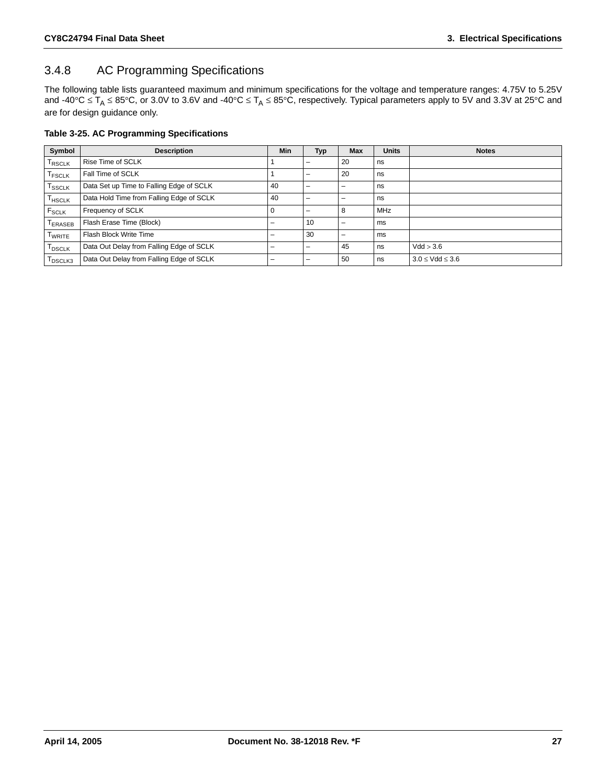### <span id="page-26-0"></span>3.4.8 AC Programming Specifications

The following table lists guaranteed maximum and minimum specifications for the voltage and temperature ranges: 4.75V to 5.25V and -40°C  $\leq T_A \leq 85$ °C, or 3.0V to 3.6V and -40°C  $\leq T_A \leq 85$ °C, respectively. Typical parameters apply to 5V and 3.3V at 25°C and are for design guidance only.

#### **Table 3-25. AC Programming Specifications**

| Symbol                                                                      | <b>Description</b>                       | <b>Min</b> | <b>Typ</b>               | <b>Max</b> | <b>Units</b> | <b>Notes</b>            |
|-----------------------------------------------------------------------------|------------------------------------------|------------|--------------------------|------------|--------------|-------------------------|
| T <sub>RSCLK</sub>                                                          | Rise Time of SCLK                        |            | $\qquad \qquad$          | 20         | ns           |                         |
| <b>T</b> FSCLK                                                              | Fall Time of SCLK                        |            | $\overline{\phantom{0}}$ | 20         | ns           |                         |
| T <sub>SSCLK</sub>                                                          | Data Set up Time to Falling Edge of SCLK | 40         | $\overline{\phantom{0}}$ | -          | ns           |                         |
| $T_{HSCLK}$                                                                 | Data Hold Time from Falling Edge of SCLK | 40         | -                        | -          | ns           |                         |
| $F_{SCLK}$                                                                  | Frequency of SCLK                        |            | -                        | 8          | <b>MHz</b>   |                         |
| ERASEB                                                                      | Flash Erase Time (Block)                 |            | 10                       |            | ms           |                         |
| <b>TWRITE</b>                                                               | Flash Block Write Time                   |            | 30                       | -          | ms           |                         |
| <b>T</b> <sub>DSCLK</sub>                                                   | Data Out Delay from Falling Edge of SCLK |            | $\overline{\phantom{0}}$ | 45         | ns           | Vdd > 3.6               |
| $\mathsf{T}_{\mathsf{D}\mathsf{S}\mathsf{C}\mathsf{L}\mathsf{K}\mathsf{3}}$ | Data Out Delay from Falling Edge of SCLK |            | -                        | 50         | ns           | $3.0 \leq Vdd \leq 3.6$ |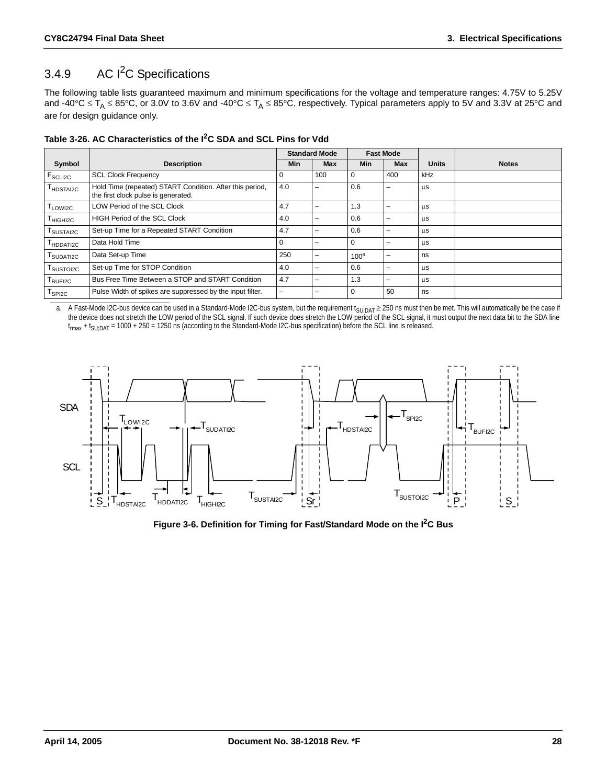### <span id="page-27-0"></span>3.4.9 AC I<sup>2</sup>C Specifications

The following table lists guaranteed maximum and minimum specifications for the voltage and temperature ranges: 4.75V to 5.25V and -40°C  $\leq T_A \leq 85$ °C, or 3.0V to 3.6V and -40°C  $\leq T_A \leq 85$ °C, respectively. Typical parameters apply to 5V and 3.3V at 25°C and are for design guidance only.

| Table 3-26. AC Characteristics of the I <sup>2</sup> C SDA and SCL Pins for Vdd |  |  |  |
|---------------------------------------------------------------------------------|--|--|--|
|---------------------------------------------------------------------------------|--|--|--|

|                                   |                                                                                                 |             | <b>Standard Mode</b> | <b>Fast Mode</b> |            |              |              |
|-----------------------------------|-------------------------------------------------------------------------------------------------|-------------|----------------------|------------------|------------|--------------|--------------|
| Symbol                            | <b>Description</b>                                                                              | <b>Min</b>  | Max                  | Min              | <b>Max</b> | <b>Units</b> | <b>Notes</b> |
| <b>F</b> <sub>SCLI2C</sub>        | <b>SCL Clock Frequency</b>                                                                      | 0           | 100                  | l 0              | 400        | kHz          |              |
| $\mathsf{T}_{\mathsf{HDSTAI2C}}$  | Hold Time (repeated) START Condition. After this period,<br>the first clock pulse is generated. | 4.0         |                      | 0.6              |            | μs           |              |
| T <sub>LOWI2C</sub>               | LOW Period of the SCL Clock                                                                     | 4.7         |                      | 1.3              | -          | μs           |              |
| T <sub>HIGHI2C</sub>              | <b>HIGH Period of the SCL Clock</b>                                                             | 4.0         |                      | 0.6              | -          | μs           |              |
| ${\sf T}_{\sf SUSTAIZC}$          | Set-up Time for a Repeated START Condition                                                      | 4.7         |                      | 0.6              | -          | μs           |              |
| T <sub>HDDATI2C</sub>             | Data Hold Time                                                                                  | $\mathbf 0$ |                      | l 0              | -          | μs           |              |
| ${\mathsf T}_{\textsf{SUDATIZC}}$ | Data Set-up Time                                                                                |             | -                    | $100^a$          | -          | ns           |              |
| T <sub>SUSTOI2C</sub>             | Set-up Time for STOP Condition                                                                  |             |                      | 0.6              | -          | μs           |              |
| T <sub>BUFI2C</sub>               | Bus Free Time Between a STOP and START Condition                                                | 4.7         |                      | 1.3              | -          | μs           |              |
| ${\sf T}_{\sf SPI2C}$             | Pulse Width of spikes are suppressed by the input filter.                                       | -           |                      | l 0              | 50         | ns           |              |

a. A Fast-Mode I2C-bus device can be used in a Standard-Mode I2C-bus system, but the requirement  $t_{\text{SU;DAT}} \geq 250$  ns must then be met. This will automatically be the case if the device does not stretch the LOW period of the SCL signal. If such device does stretch the LOW period of the SCL signal, it must output the next data bit to the SDA line t<sub>rmax</sub> + t<sub>SU;DAT</sub> = 1000 + 250 = 1250 ns (according to the Standard-Mode I2C-bus specification) before the SCL line is released.



**Figure 3-6. Definition for Timing for Fast/Standard Mode on the I2C Bus**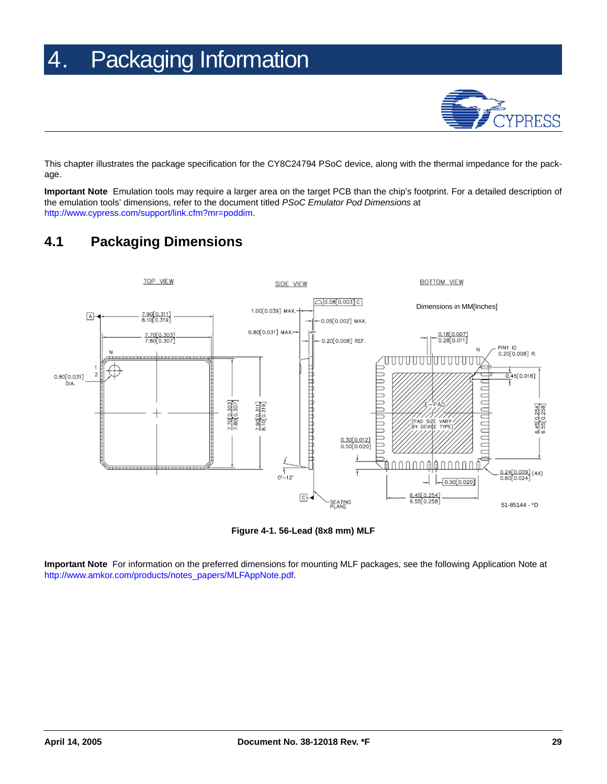# <span id="page-28-0"></span>4. Packaging Information



This chapter illustrates the package specification for the CY8C24794 PSoC device, along with the thermal impedance for the package.

**Important Note** Emulation tools may require a larger area on the target PCB than the chip's footprint. For a detailed description of the emulation tools' dimensions, refer to the document titled *PSoC Emulator Pod Dimensions* at [http://www.cypress.com/support/link.cfm?mr=poddim.](http://www.cypress.com/support/link.cfm?mr=poddim)

### <span id="page-28-1"></span>**4.1 Packaging Dimensions**



**Figure 4-1. 56-Lead (8x8 mm) MLF**

**Important Note** For information on the preferred dimensions for mounting MLF packages, see the following Application Note at [http://www.amkor.com/products/notes\\_papers/MLFAppNote.pdf](http://www.amkor.com/products/notes_papers/MLFAppNote.pdf).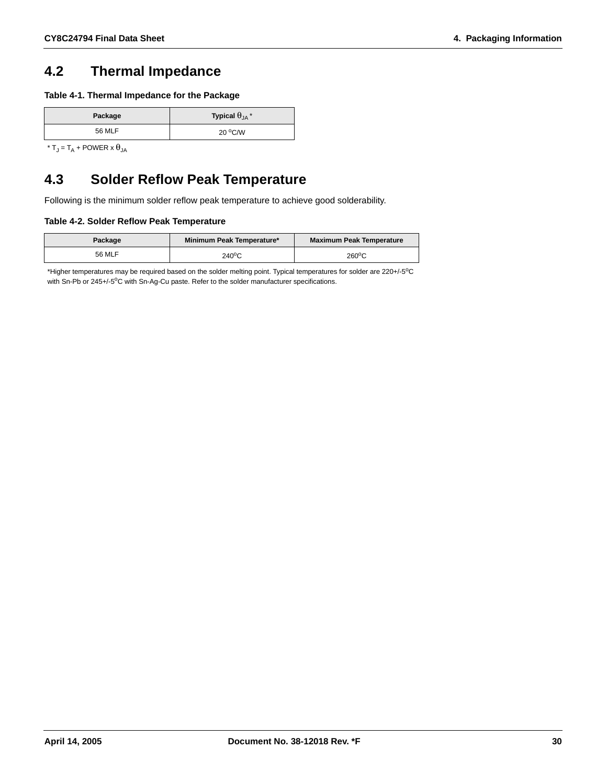### <span id="page-29-2"></span><span id="page-29-0"></span>**4.2 Thermal Impedance**

**Table 4-1. Thermal Impedance for the Package**

| Package | Typical $\theta_{JA}$ <sup>*</sup> |
|---------|------------------------------------|
| 56 MLF  | $20^{\circ}$ C/W                   |

\* T<sub>J</sub> = T<sub>A</sub> + POWER x  $\theta_{JA}$ 

### <span id="page-29-1"></span>**4.3 Solder Reflow Peak Temperature**

Following is the minimum solder reflow peak temperature to achieve good solderability.

#### **Table 4-2. Solder Reflow Peak Temperature**

| Package | Minimum Peak Temperature* | <b>Maximum Peak Temperature</b> |
|---------|---------------------------|---------------------------------|
| 56 MLF  | $240^{\circ}$ C           | $260^{\circ}$ C                 |

\*Higher temperatures may be required based on the solder melting point. Typical temperatures for solder are 220+/-5<sup>o</sup>C with Sn-Pb or 245+/-5°C with Sn-Ag-Cu paste. Refer to the solder manufacturer specifications.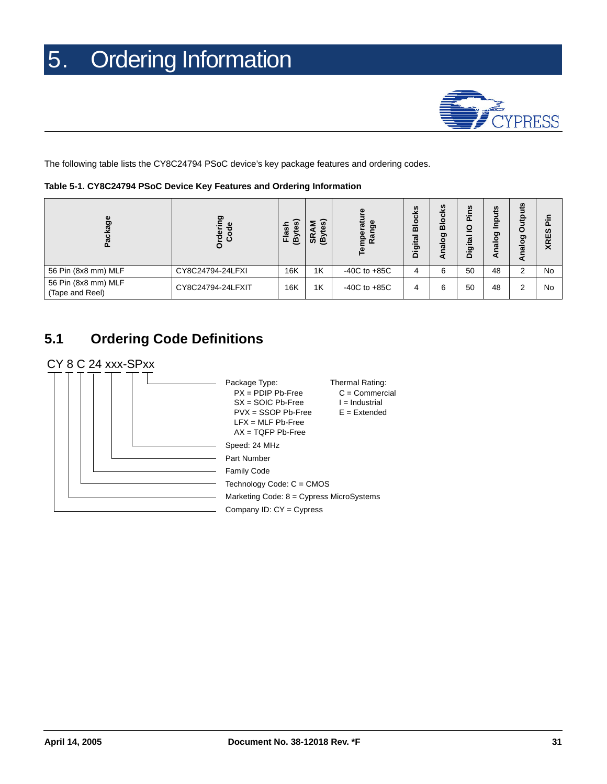

<span id="page-30-0"></span>The following table lists the CY8C24794 PSoC device's key package features and ordering codes.

| Table 5-1. CY8C24794 PSoC Device Key Features and Ordering Information |  |
|------------------------------------------------------------------------|--|
|------------------------------------------------------------------------|--|

| Φ<br>o                                 | ත<br>ω<br>-ဗွီ ငွံ | ି<br>운<br>Ö<br>≅<br>ίe<br>ட | ଜ<br>ω<br>SR<br>ê | eratı<br>ge<br><u>ក្</u> ថ<br>Ĕ | <b>S</b><br>$\overline{\mathbf{c}}$<br><u>Sio</u><br><b>Digital</b> | ω<br>۰<br>ᄒ<br>ರಾ<br>Ο<br>ಹ | w<br>O<br>Digit | S<br>$\bullet$<br>-<br>ರಾ<br>Ο<br>œ | ഇ<br>Ω<br>≖<br>ත<br>o<br>ℼ | <b>SC</b><br>XRE: |
|----------------------------------------|--------------------|-----------------------------|-------------------|---------------------------------|---------------------------------------------------------------------|-----------------------------|-----------------|-------------------------------------|----------------------------|-------------------|
| 56 Pin (8x8 mm) MLF                    | CY8C24794-24LFXI   | 16K                         | 1K                | $-40C$ to $+85C$                |                                                                     | 6                           | 50              | 48                                  | ົ                          | <b>No</b>         |
| 56 Pin (8x8 mm) MLF<br>(Tape and Reel) | CY8C24794-24LFXIT  | 16K                         | 1K                | $-40C$ to $+85C$                | 4                                                                   | 6                           | 50              | 48                                  | ⌒                          | No                |

### <span id="page-30-1"></span>**5.1 Ordering Code Definitions**

#### CY 8 C 24 xxx-SPxx